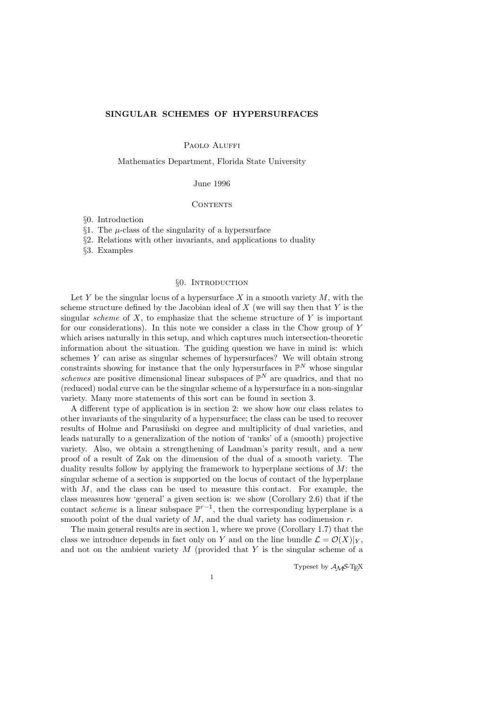## SINGULAR SCHEMES OF HYPERSURFACES

PAOLO ALUFFI

Mathematics Department, Florida State University

### June 1996

### **CONTENTS**

- §0. Introduction
- §1. The  $\mu$ -class of the singularity of a hypersurface
- §2. Relations with other invariants, and applications to duality
- §3. Examples

# §0. Introduction

Let Y be the singular locus of a hypersurface X in a smooth variety  $M$ , with the scheme structure defined by the Jacobian ideal of  $X$  (we will say then that  $Y$  is the singular *scheme* of  $X$ , to emphasize that the scheme structure of  $Y$  is important for our considerations). In this note we consider a class in the Chow group of Y which arises naturally in this setup, and which captures much intersection-theoretic information about the situation. The guiding question we have in mind is: which schemes Y can arise as singular schemes of hypersurfaces? We will obtain strong constraints showing for instance that the only hypersurfaces in  $\mathbb{P}^N$  whose singular schemes are positive dimensional linear subspaces of  $\mathbb{P}^N$  are quadrics, and that no (reduced) nodal curve can be the singular scheme of a hypersurface in a non-singular variety. Many more statements of this sort can be found in section 3.

A different type of application is in section 2: we show how our class relates to other invariants of the singularity of a hypersurface; the class can be used to recover results of Holme and Parusinski on degree and multiplicity of dual varieties, and leads naturally to a generalization of the notion of 'ranks' of a (smooth) projective variety. Also, we obtain a strengthening of Landman's parity result, and a new proof of a result of Zak on the dimension of the dual of a smooth variety. The duality results follow by applying the framework to hyperplane sections of  $M$ : the singular scheme of a section is supported on the locus of contact of the hyperplane with  $M$ , and the class can be used to measure this contact. For example, the class measures how 'general' a given section is: we show (Corollary 2.6) that if the contact scheme is a linear subspace  $\mathbb{P}^{r-1}$ , then the corresponding hyperplane is a smooth point of the dual variety of  $M$ , and the dual variety has codimension  $r$ .

The main general results are in section 1, where we prove (Corollary 1.7) that the class we introduce depends in fact only on Y and on the line bundle  $\mathcal{L} = \mathcal{O}(X)|_Y$ , and not on the ambient variety  $M$  (provided that  $Y$  is the singular scheme of a

Typeset by  $A_{\mathcal{M}}S$ -TEX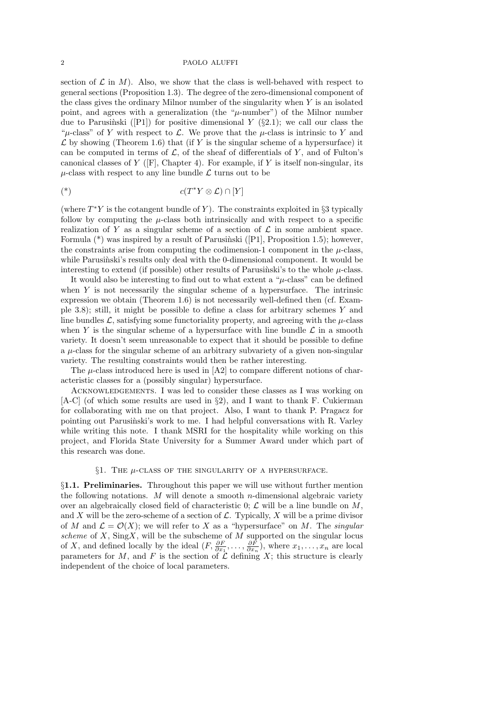section of  $\mathcal L$  in M). Also, we show that the class is well-behaved with respect to general sections (Proposition 1.3). The degree of the zero-dimensional component of the class gives the ordinary Milnor number of the singularity when  $Y$  is an isolated point, and agrees with a generalization (the " $\mu$ -number") of the Milnor number due to Parusinski ([P1]) for positive dimensional Y ( $\S 2.1$ ); we call our class the " $\mu$ -class" of Y with respect to L. We prove that the  $\mu$ -class is intrinsic to Y and  $\mathcal L$  by showing (Theorem 1.6) that (if Y is the singular scheme of a hypersurface) it can be computed in terms of  $\mathcal{L}$ , of the sheaf of differentials of Y, and of Fulton's canonical classes of Y ([F], Chapter 4). For example, if Y is itself non-singular, its  $\mu$ -class with respect to any line bundle  $\mathcal L$  turns out to be

$$
c(T^*Y \otimes \mathcal{L}) \cap [Y]
$$

(where  $T^*Y$  is the cotangent bundle of Y). The constraints exploited in §3 typically follow by computing the  $\mu$ -class both intrinsically and with respect to a specific realization of Y as a singular scheme of a section of  $\mathcal L$  in some ambient space. Formula  $(*)$  was inspired by a result of Parusinski ([P1], Proposition 1.5); however, the constraints arise from computing the codimension-1 component in the  $\mu$ -class, while Parusinski's results only deal with the 0-dimensional component. It would be interesting to extend (if possible) other results of Parusinski's to the whole  $\mu$ -class.

It would also be interesting to find out to what extent a " $\mu$ -class" can be defined when  $Y$  is not necessarily the singular scheme of a hypersurface. The intrinsic expression we obtain (Theorem 1.6) is not necessarily well-defined then (cf. Example 3.8); still, it might be possible to define a class for arbitrary schemes Y and line bundles  $\mathcal{L}$ , satisfying some functoriality property, and agreeing with the  $\mu$ -class when Y is the singular scheme of a hypersurface with line bundle  $\mathcal L$  in a smooth variety. It doesn't seem unreasonable to expect that it should be possible to define a  $\mu$ -class for the singular scheme of an arbitrary subvariety of a given non-singular variety. The resulting constraints would then be rather interesting.

The  $\mu$ -class introduced here is used in [A2] to compare different notions of characteristic classes for a (possibly singular) hypersurface.

ACKNOWLEDGEMENTS. I was led to consider these classes as I was working on [A-C] (of which some results are used in §2), and I want to thank F. Cukierman for collaborating with me on that project. Also, I want to thank P. Pragacz for pointing out Parusinski's work to me. I had helpful conversations with R. Varley while writing this note. I thank MSRI for the hospitality while working on this project, and Florida State University for a Summer Award under which part of this research was done.

# §1. THE  $\mu$ -CLASS OF THE SINGULARITY OF A HYPERSURFACE.

§1.1. Preliminaries. Throughout this paper we will use without further mention the following notations. M will denote a smooth  $n$ -dimensional algebraic variety over an algebraically closed field of characteristic 0;  $\mathcal{L}$  will be a line bundle on  $M$ , and X will be the zero-scheme of a section of  $\mathcal{L}$ . Typically, X will be a prime divisor of M and  $\mathcal{L} = \mathcal{O}(X)$ ; we will refer to X as a "hypersurface" on M. The singular scheme of  $X$ , Sing  $X$ , will be the subscheme of  $M$  supported on the singular locus of X, and defined locally by the ideal  $(F, \frac{\partial F}{\partial x_1}, \ldots, \frac{\partial F}{\partial x_n})$  $\frac{\partial F}{\partial x_n}$ , where  $x_1, \ldots, x_n$  are local parameters for M, and F is the section of  $\mathcal L$  defining X; this structure is clearly independent of the choice of local parameters.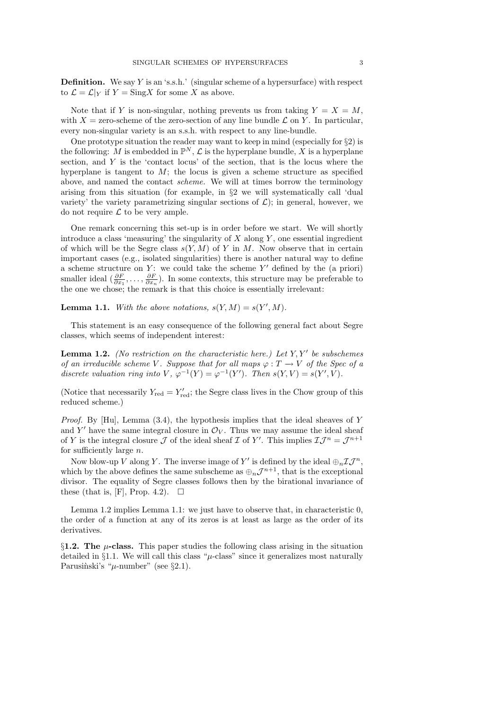**Definition.** We say Y is an 's.s.h.' (singular scheme of a hypersurface) with respect to  $\mathcal{L} = \mathcal{L}|_Y$  if  $Y = \text{Sing} X$  for some X as above.

Note that if Y is non-singular, nothing prevents us from taking  $Y = X = M$ , with  $X =$  zero-scheme of the zero-section of any line bundle  $\mathcal L$  on Y. In particular, every non-singular variety is an s.s.h. with respect to any line-bundle.

One prototype situation the reader may want to keep in mind (especially for  $\S 2$ ) is the following: M is embedded in  $\mathbb{P}^N$ ,  $\mathcal L$  is the hyperplane bundle, X is a hyperplane section, and  $Y$  is the 'contact locus' of the section, that is the locus where the hyperplane is tangent to  $M$ ; the locus is given a scheme structure as specified above, and named the contact scheme. We will at times borrow the terminology arising from this situation (for example, in §2 we will systematically call 'dual variety' the variety parametrizing singular sections of  $\mathcal{L}$ ); in general, however, we do not require  $\mathcal L$  to be very ample.

One remark concerning this set-up is in order before we start. We will shortly introduce a class 'measuring' the singularity of  $X$  along  $Y$ , one essential ingredient of which will be the Segre class  $s(Y, M)$  of Y in M. Now observe that in certain important cases (e.g., isolated singularities) there is another natural way to define a scheme structure on  $Y$ : we could take the scheme  $Y'$  defined by the (a priori) smaller ideal  $\left(\frac{\partial F}{\partial x_1},\ldots,\frac{\partial F}{\partial x_n}\right)$  $\frac{\partial F}{\partial x_n}$ ). In some contexts, this structure may be preferable to the one we chose; the remark is that this choice is essentially irrelevant:

**Lemma 1.1.** With the above notations,  $s(Y, M) = s(Y', M)$ .

This statement is an easy consequence of the following general fact about Segre classes, which seems of independent interest:

**Lemma 1.2.** (No restriction on the characteristic here.) Let  $Y, Y'$  be subschemes of an irreducible scheme V. Suppose that for all maps  $\varphi : T \to V$  of the Spec of a discrete valuation ring into  $V$ ,  $\varphi^{-1}(Y) = \varphi^{-1}(Y')$ . Then  $s(Y, V) = s(Y', V)$ .

(Notice that necessarily  $Y_{\text{red}} = Y'_{\text{red}}$ ; the Segre class lives in the Chow group of this reduced scheme.)

*Proof.* By [Hu], Lemma  $(3.4)$ , the hypothesis implies that the ideal sheaves of Y and Y' have the same integral closure in  $\mathcal{O}_V$ . Thus we may assume the ideal sheaf of Y is the integral closure  $\mathcal J$  of the ideal sheaf  $\mathcal I$  of Y'. This implies  $\mathcal I\mathcal J^n=\mathcal J^{n+1}$ for sufficiently large n.

Now blow-up V along Y. The inverse image of Y' is defined by the ideal  $\bigoplus_{n} \mathcal{I} \mathcal{J}^n$ , which by the above defines the same subscheme as  $\bigoplus_n \mathcal{J}^{n+1}$ , that is the exceptional divisor. The equality of Segre classes follows then by the birational invariance of these (that is, [F], Prop. 4.2).  $\Box$ 

Lemma 1.2 implies Lemma 1.1: we just have to observe that, in characteristic 0, the order of a function at any of its zeros is at least as large as the order of its derivatives.

§1.2. The  $\mu$ -class. This paper studies the following class arising in the situation detailed in §1.1. We will call this class " $\mu$ -class" since it generalizes most naturally Parusinski's " $\mu$ -number" (see §2.1).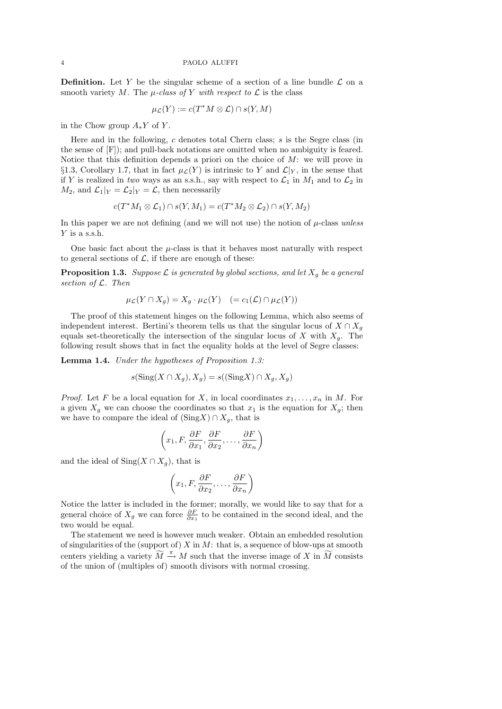**Definition.** Let Y be the singular scheme of a section of a line bundle  $\mathcal{L}$  on a smooth variety M. The  $\mu$ -class of Y with respect to  $\mathcal L$  is the class

$$
\mu_{\mathcal{L}}(Y) := c(T^*M \otimes \mathcal{L}) \cap s(Y, M)
$$

in the Chow group  $A_*Y$  of Y.

Here and in the following, c denotes total Chern class; s is the Segre class (in the sense of [F]); and pull-back notations are omitted when no ambiguity is feared. Notice that this definition depends a priori on the choice of  $M$ : we will prove in §1.3, Corollary 1.7, that in fact  $\mu$ <sub>*C*</sub>(*Y*) is intrinsic to *Y* and *L*<sub>|*Y*</sub>, in the sense that if Y is realized in two ways as an s.s.h., say with respect to  $\mathcal{L}_1$  in  $M_1$  and to  $\mathcal{L}_2$  in  $M_2$ , and  $\mathcal{L}_1|_Y = \mathcal{L}_2|_Y = \mathcal{L}$ , then necessarily

$$
c(T^*M_1 \otimes \mathcal{L}_1) \cap s(Y, M_1) = c(T^*M_2 \otimes \mathcal{L}_2) \cap s(Y, M_2)
$$

In this paper we are not defining (and we will not use) the notion of  $\mu$ -class unless Y is a s.s.h.

One basic fact about the  $\mu$ -class is that it behaves most naturally with respect to general sections of  $\mathcal{L}$ , if there are enough of these:

**Proposition 1.3.** Suppose  $\mathcal{L}$  is generated by global sections, and let  $X_q$  be a general section of  $\mathcal{L}$ . Then

$$
\mu_{\mathcal{L}}(Y \cap X_g) = X_g \cdot \mu_{\mathcal{L}}(Y) \quad (= c_1(\mathcal{L}) \cap \mu_{\mathcal{L}}(Y))
$$

The proof of this statement hinges on the following Lemma, which also seems of independent interest. Bertini's theorem tells us that the singular locus of  $X \cap X_q$ equals set-theoretically the intersection of the singular locus of X with  $X_g$ . The following result shows that in fact the equality holds at the level of Segre classes:

Lemma 1.4. Under the hypotheses of Proposition 1.3:

$$
s(\operatorname{Sing}(X \cap X_g), X_g) = s((\operatorname{Sing} X) \cap X_g, X_g)
$$

*Proof.* Let F be a local equation for X, in local coordinates  $x_1, \ldots, x_n$  in M. For a given  $X_q$  we can choose the coordinates so that  $x_1$  is the equation for  $X_q$ ; then we have to compare the ideal of  $(SingX) \cap X_g$ , that is

$$
\left(x_1, F, \frac{\partial F}{\partial x_1}, \frac{\partial F}{\partial x_2}, \dots, \frac{\partial F}{\partial x_n}\right)
$$

and the ideal of Sing( $X \cap X_q$ ), that is

$$
\left(x_1, F, \frac{\partial F}{\partial x_2}, \dots, \frac{\partial F}{\partial x_n}\right)
$$

Notice the latter is included in the former; morally, we would like to say that for a general choice of  $X_g$  we can force  $\frac{\partial F}{\partial x_1}$  to be contained in the second ideal, and the two would be equal.

The statement we need is however much weaker. Obtain an embedded resolution of singularities of the (support of) X in M: that is, a sequence of blow-ups at smooth centers yielding a variety  $\widetilde{M} \stackrel{\pi}{\rightarrow} M$  such that the inverse image of X in  $\widetilde{M}$  consists of the union of (multiples of) smooth divisors with normal crossing.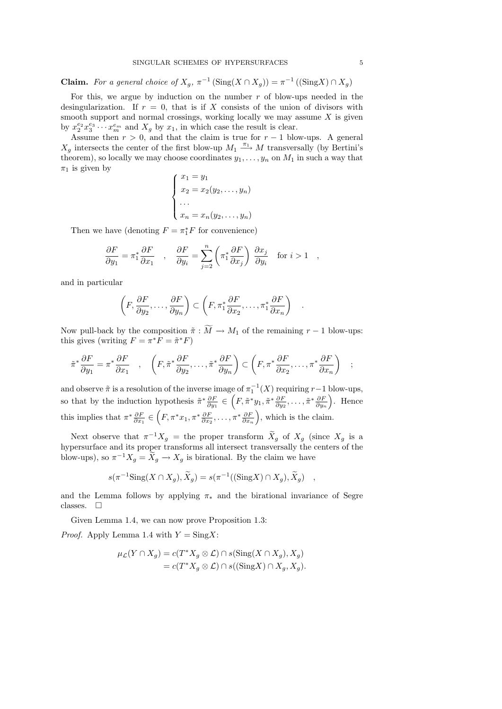**Claim.** For a general choice of  $X_g$ ,  $\pi^{-1}(\text{Sing}(X \cap X_g)) = \pi^{-1}((\text{Sing}X) \cap X_g)$ 

For this, we argue by induction on the number  $r$  of blow-ups needed in the desingularization. If  $r = 0$ , that is if X consists of the union of divisors with smooth support and normal crossings, working locally we may assume  $X$  is given by  $x_2^{e_2} x_3^{e_3} \cdots x_m^{e_m}$  and  $X_g$  by  $x_1$ , in which case the result is clear.

Assume then  $r > 0$ , and that the claim is true for  $r - 1$  blow-ups. A general  $X_g$  intersects the center of the first blow-up  $M_1 \stackrel{\pi_1}{\longrightarrow} M$  transversally (by Bertini's theorem), so locally we may choose coordinates  $y_1, \ldots, y_n$  on  $M_1$  in such a way that  $\pi_1$  is given by

$$
\begin{cases}\nx_1 = y_1 \\
x_2 = x_2(y_2, \dots, y_n) \\
\dots \\
x_n = x_n(y_2, \dots, y_n)\n\end{cases}
$$

Then we have (denoting  $F = \pi_1^* F$  for convenience)

$$
\frac{\partial F}{\partial y_1} = \pi_1^* \frac{\partial F}{\partial x_1} \quad , \quad \frac{\partial F}{\partial y_i} = \sum_{j=2}^n \left( \pi_1^* \frac{\partial F}{\partial x_j} \right) \frac{\partial x_j}{\partial y_i} \quad \text{for } i > 1 \quad ,
$$

and in particular

$$
\left(F, \frac{\partial F}{\partial y_2}, \dots, \frac{\partial F}{\partial y_n}\right) \subset \left(F, \pi_1^* \frac{\partial F}{\partial x_2}, \dots, \pi_1^* \frac{\partial F}{\partial x_n}\right)
$$

.

Now pull-back by the composition  $\tilde{\pi}: \widetilde{M} \to M_1$  of the remaining  $r-1$  blow-ups: this gives (writing  $F = \pi^* \overline{F} = \tilde{\pi}^* F$ )

$$
\tilde{\pi}^* \frac{\partial F}{\partial y_1} = \pi^* \frac{\partial F}{\partial x_1} \quad , \quad \left(F, \tilde{\pi}^* \frac{\partial F}{\partial y_2}, \dots, \tilde{\pi}^* \frac{\partial F}{\partial y_n}\right) \subset \left(F, \pi^* \frac{\partial F}{\partial x_2}, \dots, \pi^* \frac{\partial F}{\partial x_n}\right) \quad ;
$$

and observe  $\tilde{\pi}$  is a resolution of the inverse image of  $\pi_1^{-1}$  $i_1^{-1}(X)$  requiring  $r-1$  blow-ups, so that by the induction hypothesis  $\tilde{\pi}^* \frac{\partial F}{\partial w}$  $\frac{\partial F}{\partial y_1} \in \left( F, \tilde{\pi}^* y_1, \tilde{\pi}^* \frac{\partial F}{\partial y_2} \right)$  $\frac{\partial F}{\partial y_2}, \ldots, \tilde{\pi}^* \frac{\partial F}{\partial y_n}$  $\partial y_n$  . Hence this implies that  $\pi^* \frac{\partial F}{\partial x}$  $\frac{\partial F}{\partial x_1} \in \left( F, \pi^* x_1, \pi^* \frac{\partial F}{\partial x_2}, \ldots, \pi^* \frac{\partial F}{\partial x_n} \right)$ , which is the claim.

Next observe that  $\pi^{-1}X_g$  = the proper transform  $\widetilde{X}_g$  of  $X_g$  (since  $X_g$  is a hypersurface and its proper transforms all intersect transversally the centers of the blow-ups), so  $\pi^{-1}X_g = \widetilde{X}_g \to X_g$  is birational. By the claim we have

$$
s(\pi^{-1}\mathrm{Sing}(X \cap X_g), \widetilde{X}_g) = s(\pi^{-1}((\mathrm{Sing}X) \cap X_g), \widetilde{X}_g) ,
$$

and the Lemma follows by applying  $\pi_*$  and the birational invariance of Segre classes.  $\square$ 

Given Lemma 1.4, we can now prove Proposition 1.3:

*Proof.* Apply Lemma 1.4 with  $Y = SingX$ :

$$
\mu_{\mathcal{L}}(Y \cap X_g) = c(T^* X_g \otimes \mathcal{L}) \cap s(\text{Sing}(X \cap X_g), X_g)
$$
  
= 
$$
c(T^* X_g \otimes \mathcal{L}) \cap s((\text{Sing}X) \cap X_g, X_g).
$$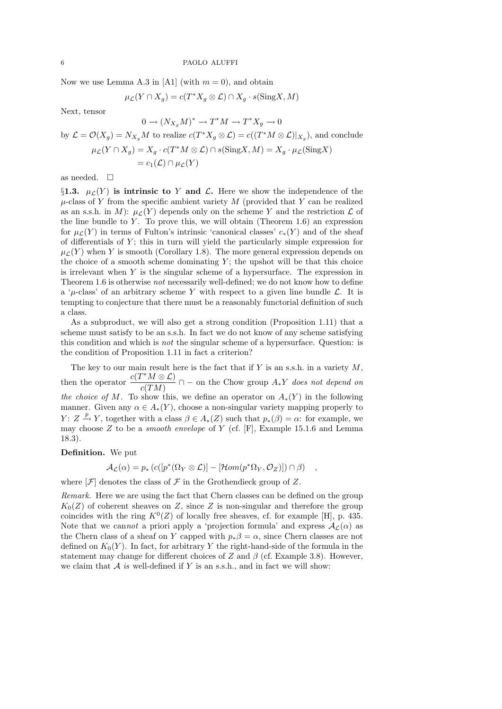Now we use Lemma A.3 in [A1] (with  $m = 0$ ), and obtain

$$
\mu_{\mathcal{L}}(Y \cap X_g) = c(T^* X_g \otimes \mathcal{L}) \cap X_g \cdot s(\text{Sing} X, M)
$$

Next, tensor

$$
0 \to (N_{X_g}M)^* \to T^*M \to T^*X_g \to 0
$$
  
by  $\mathcal{L} = \mathcal{O}(X_g) = N_{X_g}M$  to realize  $c(T^*X_g \otimes \mathcal{L}) = c((T^*M \otimes \mathcal{L})|_{X_g})$ , and conclude  

$$
\mu_{\mathcal{L}}(Y \cap X_g) = X_g \cdot c(T^*M \otimes \mathcal{L}) \cap s(\text{Sing}X, M) = X_g \cdot \mu_{\mathcal{L}}(\text{Sing}X)
$$

$$
= c_1(\mathcal{L}) \cap \mu_{\mathcal{L}}(Y)
$$

as needed.  $\square$ 

§1.3.  $\mu_C(Y)$  is intrinsic to Y and L. Here we show the independence of the  $\mu$ -class of Y from the specific ambient variety M (provided that Y can be realized as an s.s.h. in M):  $\mu_{\mathcal{L}}(Y)$  depends only on the scheme Y and the restriction  $\mathcal{L}$  of the line bundle to  $Y$ . To prove this, we will obtain (Theorem 1.6) an expression for  $\mu_L(Y)$  in terms of Fulton's intrinsic 'canonical classes'  $c_*(Y)$  and of the sheaf of differentials of  $Y$ ; this in turn will yield the particularly simple expression for  $\mu_L(Y)$  when Y is smooth (Corollary 1.8). The more general expression depends on the choice of a smooth scheme dominating  $Y$ ; the upshot will be that this choice is irrelevant when  $Y$  is the singular scheme of a hypersurface. The expression in Theorem 1.6 is otherwise not necessarily well-defined; we do not know how to define a ' $\mu$ -class' of an arbitrary scheme Y with respect to a given line bundle  $\mathcal{L}$ . It is tempting to conjecture that there must be a reasonably functorial definition of such a class.

As a subproduct, we will also get a strong condition (Proposition 1.11) that a scheme must satisfy to be an s.s.h. In fact we do not know of any scheme satisfying this condition and which is not the singular scheme of a hypersurface. Question: is the condition of Proposition 1.11 in fact a criterion?

The key to our main result here is the fact that if  $Y$  is an s.s.h. in a variety  $M$ , then the operator  $\frac{c(T^*M\otimes\mathcal{L})}{(TM)}$  $c(TM)$  $\cap$  – on the Chow group  $A_*Y$  does not depend on the choice of M. To show this, we define an operator on  $A_*(Y)$  in the following manner. Given any  $\alpha \in A_*(Y)$ , choose a non-singular variety mapping properly to  $Y: Z \stackrel{p}{\rightarrow} Y$ , together with a class  $\beta \in A_*(Z)$  such that  $p_*(\beta) = \alpha$ : for example, we may choose  $Z$  to be a *smooth envelope* of  $Y$  (cf. [F], Example 15.1.6 and Lemma 18.3).

## Definition. We put

$$
\mathcal{A}_{\mathcal{L}}(\alpha) = p_* \left( c([p^*(\Omega_Y \otimes \mathcal{L})] - [\mathcal{H}om(p^*\Omega_Y, \mathcal{O}_Z)]) \cap \beta \right) ,
$$

where  $[\mathcal{F}]$  denotes the class of  $\mathcal F$  in the Grothendieck group of  $Z$ .

Remark. Here we are using the fact that Chern classes can be defined on the group  $K_0(Z)$  of coherent sheaves on Z, since Z is non-singular and therefore the group coincides with the ring  $K^0(Z)$  of locally free sheaves, cf. for example [H], p. 435. Note that we cannot a priori apply a 'projection formula' and express  $A_{\mathcal{L}}(\alpha)$  as the Chern class of a sheaf on Y capped with  $p_*\beta = \alpha$ , since Chern classes are not defined on  $K_0(Y)$ . In fact, for arbitrary Y the right-hand-side of the formula in the statement may change for different choices of Z and  $\beta$  (cf. Example 3.8). However, we claim that  $A$  is well-defined if  $Y$  is an s.s.h., and in fact we will show: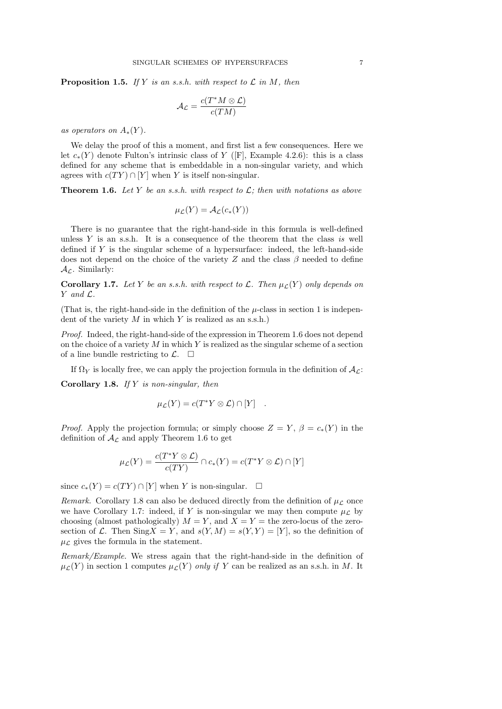**Proposition 1.5.** If Y is an s.s.h. with respect to  $\mathcal{L}$  in M, then

$$
\mathcal{A}_{\mathcal{L}} = \frac{c(T^*M \otimes \mathcal{L})}{c(TM)}
$$

as operators on  $A_*(Y)$ .

We delay the proof of this a moment, and first list a few consequences. Here we let  $c_*(Y)$  denote Fulton's intrinsic class of Y ([F], Example 4.2.6): this is a class defined for any scheme that is embeddable in a non-singular variety, and which agrees with  $c(TY) \cap [Y]$  when Y is itself non-singular.

**Theorem 1.6.** Let Y be an s.s.h. with respect to  $\mathcal{L}$ ; then with notations as above

$$
\mu_{\mathcal{L}}(Y) = \mathcal{A}_{\mathcal{L}}(c_*(Y))
$$

There is no guarantee that the right-hand-side in this formula is well-defined unless  $Y$  is an s.s.h. It is a consequence of the theorem that the class is well defined if Y is the singular scheme of a hypersurface: indeed, the left-hand-side does not depend on the choice of the variety Z and the class  $\beta$  needed to define  $\mathcal{A}_{\mathcal{L}}$ . Similarly:

**Corollary 1.7.** Let Y be an s.s.h. with respect to L. Then  $\mu_{\mathcal{L}}(Y)$  only depends on Y and L.

(That is, the right-hand-side in the definition of the  $\mu$ -class in section 1 is independent of the variety  $M$  in which  $Y$  is realized as an s.s.h.)

Proof. Indeed, the right-hand-side of the expression in Theorem 1.6 does not depend on the choice of a variety  $M$  in which Y is realized as the singular scheme of a section of a line bundle restricting to  $\mathcal{L}$ .  $\Box$ 

If  $\Omega_Y$  is locally free, we can apply the projection formula in the definition of  $\mathcal{A}_{\mathcal{L}}$ :

Corollary 1.8. If  $Y$  is non-singular, then

$$
\mu_{\mathcal{L}}(Y) = c(T^*Y \otimes \mathcal{L}) \cap [Y] .
$$

*Proof.* Apply the projection formula; or simply choose  $Z = Y$ ,  $\beta = c_*(Y)$  in the definition of  $A_{\mathcal{L}}$  and apply Theorem 1.6 to get

$$
\mu_{\mathcal{L}}(Y) = \frac{c(T^*Y \otimes \mathcal{L})}{c(TY)} \cap c_*(Y) = c(T^*Y \otimes \mathcal{L}) \cap [Y]
$$

since  $c_*(Y) = c(TY) \cap [Y]$  when Y is non-singular.  $\square$ 

Remark. Corollary 1.8 can also be deduced directly from the definition of  $\mu_{\mathcal{L}}$  once we have Corollary 1.7: indeed, if Y is non-singular we may then compute  $\mu_{\mathcal{L}}$  by choosing (almost pathologically)  $M = Y$ , and  $X = Y =$  the zero-locus of the zerosection of L. Then  $SingX = Y$ , and  $s(Y, M) = s(Y, Y) = [Y]$ , so the definition of  $\mu_{\mathcal{L}}$  gives the formula in the statement.

Remark/Example. We stress again that the right-hand-side in the definition of  $\mu_{\mathcal{L}}(Y)$  in section 1 computes  $\mu_{\mathcal{L}}(Y)$  only if Y can be realized as an s.s.h. in M. It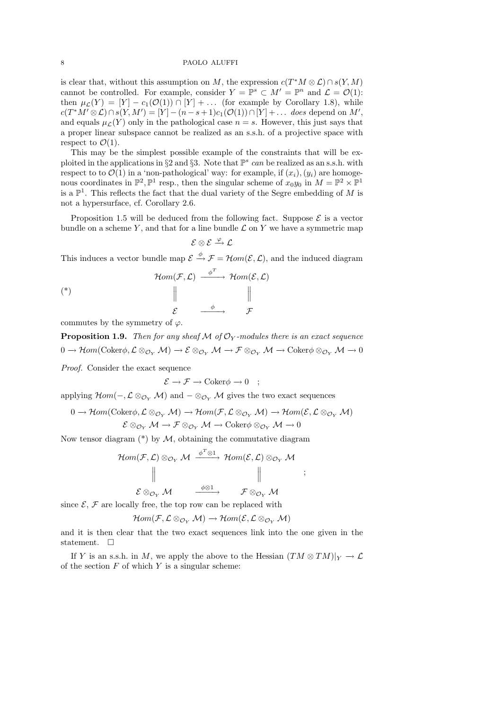is clear that, without this assumption on M, the expression  $c(T^*M\otimes\mathcal{L})\cap s(Y,M)$ cannot be controlled. For example, consider  $Y = \mathbb{P}^s \subset M' = \mathbb{P}^n$  and  $\mathcal{L} = \mathcal{O}(1)$ : then  $\mu_{\mathcal{L}}(Y) = [Y] - c_1(\mathcal{O}(1)) \cap [Y] + \dots$  (for example by Corollary 1.8), while  $c(T^*M'\otimes \mathcal{L})\cap s(Y,M')=[Y]-(n-s+1)c_1(\mathcal{O}(1))\cap [Y]+\ldots \ \textit{does depend on $M'$},$ and equals  $\mu<sub>L</sub>(Y)$  only in the pathological case  $n = s$ . However, this just says that a proper linear subspace cannot be realized as an s.s.h. of a projective space with respect to  $\mathcal{O}(1)$ .

This may be the simplest possible example of the constraints that will be exploited in the applications in §2 and §3. Note that  $\mathbb{P}^s$  can be realized as an s.s.h. with respect to to  $\mathcal{O}(1)$  in a 'non-pathological' way: for example, if  $(x_i), (y_i)$  are homogenous coordinates in  $\mathbb{P}^2$ ,  $\mathbb{P}^1$  resp., then the singular scheme of  $x_0y_0$  in  $M = \mathbb{P}^2 \times \mathbb{P}^1$ is a  $\mathbb{P}^1$ . This reflects the fact that the dual variety of the Segre embedding of M is not a hypersurface, cf. Corollary 2.6.

Proposition 1.5 will be deduced from the following fact. Suppose  $\mathcal E$  is a vector bundle on a scheme Y, and that for a line bundle  $\mathcal L$  on Y we have a symmetric map

$$
\mathcal{E}\otimes\mathcal{E}\xrightarrow{\varphi}\mathcal{L}
$$

This induces a vector bundle map  $\mathcal{E} \stackrel{\phi}{\rightarrow} \mathcal{F} = \mathcal{H}om(\mathcal{E}, \mathcal{L})$ , and the induced diagram

$$
Hom(\mathcal{F}, \mathcal{L}) \xrightarrow{\phi^T} Hom(\mathcal{E}, \mathcal{L})
$$
\n
$$
\parallel \qquad \qquad \parallel
$$
\n
$$
\mathcal{E} \xrightarrow{\phi} \qquad \mathcal{F}
$$

commutes by the symmetry of  $\varphi$ .

**Proposition 1.9.** Then for any sheaf M of  $\mathcal{O}_Y$ -modules there is an exact sequence  $0 \to \mathcal{H}om(\mathrm{Coker}\phi, \mathcal{L} \otimes_{\mathcal{O}_Y} \mathcal{M}) \to \mathcal{E} \otimes_{\mathcal{O}_Y} \mathcal{M} \to \mathcal{F} \otimes_{\mathcal{O}_Y} \mathcal{M} \to \mathrm{Coker}\phi \otimes_{\mathcal{O}_Y} \mathcal{M} \to 0$ 

Proof. Consider the exact sequence

$$
\mathcal{E} \longrightarrow \mathcal{F} \longrightarrow \text{Coker}\phi \longrightarrow 0 \quad ;
$$

applying  $\mathcal{H}om(-,\mathcal{L}\otimes_{\mathcal{O}_Y}\mathcal{M})$  and  $-\otimes_{\mathcal{O}_Y}\mathcal{M}$  gives the two exact sequences

$$
0 \to \mathcal{H}om(\mathrm{Coker}\phi, \mathcal{L} \otimes_{\mathcal{O}_Y} \mathcal{M}) \to \mathcal{H}om(\mathcal{F}, \mathcal{L} \otimes_{\mathcal{O}_Y} \mathcal{M}) \to \mathcal{H}om(\mathcal{E}, \mathcal{L} \otimes_{\mathcal{O}_Y} \mathcal{M})
$$

$$
\mathcal{E} \otimes_{\mathcal{O}_Y} \mathcal{M} \to \mathcal{F} \otimes_{\mathcal{O}_Y} \mathcal{M} \to \mathrm{Coker}\phi \otimes_{\mathcal{O}_Y} \mathcal{M} \to 0
$$

Now tensor diagram  $(*)$  by  $M$ , obtaining the commutative diagram

$$
\begin{array}{ccc}\n\mathcal{H}om(\mathcal{F},\mathcal{L}) \otimes_{\mathcal{O}_Y} \mathcal{M} & \xrightarrow{\phi^T \otimes 1} \mathcal{H}om(\mathcal{E},\mathcal{L}) \otimes_{\mathcal{O}_Y} \mathcal{M} \\
\parallel & & \qquad \qquad \parallel \\
\mathcal{E} \otimes_{\mathcal{O}_Y} \mathcal{M} & \xrightarrow{\phi \otimes 1} & \mathcal{F} \otimes_{\mathcal{O}_Y} \mathcal{M}\n\end{array}
$$

;

since  $\mathcal{E}, \mathcal{F}$  are locally free, the top row can be replaced with

$$
\mathcal{H}om(\mathcal{F}, \mathcal{L} \otimes_{\mathcal{O}_Y} \mathcal{M}) \to \mathcal{H}om(\mathcal{E}, \mathcal{L} \otimes_{\mathcal{O}_Y} \mathcal{M})
$$

and it is then clear that the two exact sequences link into the one given in the statement.  $\square$ 

If Y is an s.s.h. in M, we apply the above to the Hessian  $(TM \otimes TM)|_Y \to \mathcal{L}$ of the section  $F$  of which  $Y$  is a singular scheme: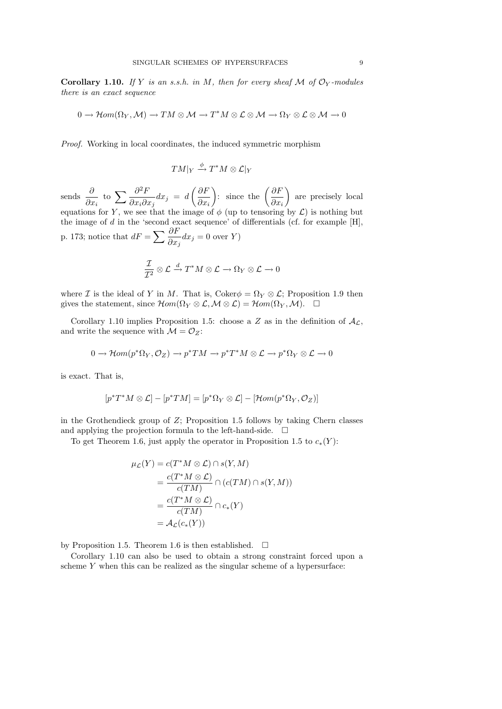**Corollary 1.10.** If Y is an s.s.h. in M, then for every sheaf M of  $\mathcal{O}_Y$ -modules there is an exact sequence

$$
0 \to \mathcal{H}om(\Omega_Y, \mathcal{M}) \to TM \otimes \mathcal{M} \to T^*M \otimes \mathcal{L} \otimes \mathcal{M} \to \Omega_Y \otimes \mathcal{L} \otimes \mathcal{M} \to 0
$$

Proof. Working in local coordinates, the induced symmetric morphism

$$
TM|_Y \stackrel{\phi}{\longrightarrow} T^*M \otimes \mathcal{L}|_Y
$$

sends  $\frac{\partial}{\partial x}$  $\partial x_i$ to  $\sum \frac{\partial^2 F}{\partial x \partial y}$  $\partial x_i\partial x_j$  $dx_j = d\left(\frac{\partial F}{\partial x}\right)$  $\partial x_i$ ): since the  $\left(\frac{\partial F}{\partial x}\right)$  $\partial x_i$  are precisely local equations for Y, we see that the image of  $\phi$  (up to tensoring by  $\mathcal{L}$ ) is nothing but the image of  $d$  in the 'second exact sequence' of differentials (cf. for example  $[H]$ , p. 173; notice that  $dF = \sum_{n=0}^{\infty} \frac{\partial F}{\partial n}$  $\partial x_j$  $dx_j = 0$  over Y)

$$
\frac{\mathcal{I}}{\mathcal{I}^2} \otimes \mathcal{L} \xrightarrow{d} T^*M \otimes \mathcal{L} \to \Omega_Y \otimes \mathcal{L} \to 0
$$

where I is the ideal of Y in M. That is, Coker $\phi = \Omega_Y \otimes \mathcal{L}$ ; Proposition 1.9 then gives the statement, since  $\mathcal{H}om(\Omega_Y \otimes \mathcal{L}, \mathcal{M} \otimes \mathcal{L}) = \mathcal{H}om(\Omega_Y, \mathcal{M}).$ 

Corollary 1.10 implies Proposition 1.5: choose a Z as in the definition of  $A_{\mathcal{L}}$ , and write the sequence with  $\mathcal{M} = \mathcal{O}_Z$ :

$$
0 \to \mathcal{H}om(p^*\Omega_Y, \mathcal{O}_Z) \to p^*TM \to p^*T^*M \otimes \mathcal{L} \to p^*\Omega_Y \otimes \mathcal{L} \to 0
$$

is exact. That is,

$$
[p^*T^*M \otimes \mathcal{L}] - [p^*TM] = [p^*\Omega_Y \otimes \mathcal{L}] - [\mathcal{H}om(p^*\Omega_Y, \mathcal{O}_Z)]
$$

in the Grothendieck group of  $Z$ ; Proposition 1.5 follows by taking Chern classes and applying the projection formula to the left-hand-side.  $\Box$ 

To get Theorem 1.6, just apply the operator in Proposition 1.5 to  $c_*(Y)$ :

$$
\mu_{\mathcal{L}}(Y) = c(T^*M \otimes \mathcal{L}) \cap s(Y, M)
$$
  
= 
$$
\frac{c(T^*M \otimes \mathcal{L})}{c(TM)} \cap (c(TM) \cap s(Y, M))
$$
  
= 
$$
\frac{c(T^*M \otimes \mathcal{L})}{c(TM)} \cap c_*(Y)
$$
  
= 
$$
\mathcal{A}_{\mathcal{L}}(c_*(Y))
$$

by Proposition 1.5. Theorem 1.6 is then established.  $\square$ 

Corollary 1.10 can also be used to obtain a strong constraint forced upon a scheme Y when this can be realized as the singular scheme of a hypersurface: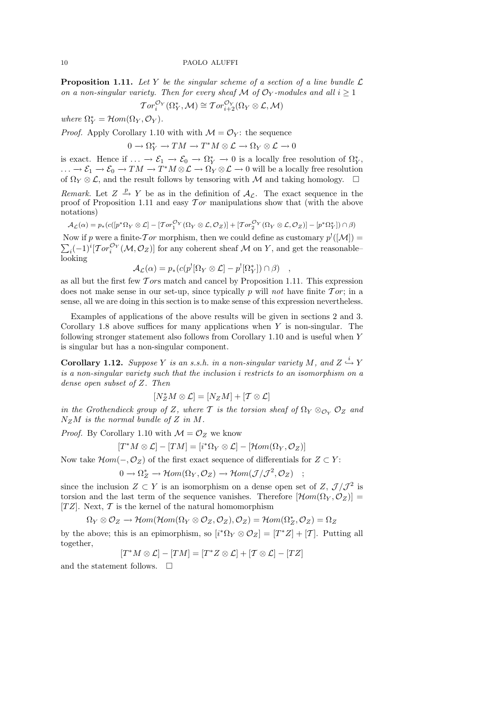**Proposition 1.11.** Let Y be the singular scheme of a section of a line bundle  $\mathcal{L}$ on a non-singular variety. Then for every sheaf M of  $\mathcal{O}_Y$ -modules and all  $i \geq 1$ 

$$
\operatorname{Tor}^{\mathcal{O}_Y}_i(\Omega_Y^*, \mathcal{M}) \cong \operatorname{Tor}^{\mathcal{O}_Y}_{i+2}(\Omega_Y \otimes \mathcal{L}, \mathcal{M})
$$

where  $\Omega_Y^* = \mathcal{H}om(\Omega_Y, \mathcal{O}_Y)$ .

*Proof.* Apply Corollary 1.10 with with  $\mathcal{M} = \mathcal{O}_Y$ : the sequence

$$
0 \to \Omega^*_{Y} \to TM \to T^*M \otimes \mathcal{L} \to \Omega_{Y} \otimes \mathcal{L} \to 0
$$

is exact. Hence if  $\ldots \to \mathcal{E}_1 \to \mathcal{E}_0 \to \Omega^*_Y \to 0$  is a locally free resolution of  $\Omega^*_Y$ ,  $\ldots \to \mathcal{E}_1 \to \mathcal{E}_0 \to TM \to T^*M\otimes \mathcal{L} \to \Omega_Y\otimes \mathcal{L} \to 0$  will be a locally free resolution of  $\Omega_Y \otimes \mathcal{L}$ , and the result follows by tensoring with M and taking homology.  $\Box$ 

Remark. Let  $Z \stackrel{p}{\rightarrow} Y$  be as in the definition of  $A_{\mathcal{L}}$ . The exact sequence in the proof of Proposition 1.11 and easy  $\mathcal{T}or$  manipulations show that (with the above notations)

$$
\mathcal{A}_{\mathcal{L}}(\alpha) = p_* (c([p^*\Omega_Y\otimes \mathcal{L}] - [Tor_1^{\mathcal{O}_Y}(\Omega_Y\otimes \mathcal{L},\mathcal{O}_Z)] + [Tor_2^{\mathcal{O}_Y}(\Omega_Y\otimes \mathcal{L},\mathcal{O}_Z)] - [p^*\Omega_Y^*])\cap \beta)
$$

Now if p were a finite- $\mathcal{T}or$  morphism, then we could define as customary  $p^!$  $\sum$  $([M]) =$  $i_1(-1)^i[Tor_i^{\mathcal{O}_Y}(\mathcal{M},\mathcal{O}_Z)]$  for any coherent sheaf M on Y, and get the reasonable– looking

$$
\mathcal{A}_{\mathcal{L}}(\alpha) = p_* (c(p^![\Omega_Y \otimes \mathcal{L}] - p^![\Omega_Y^*]) \cap \beta) \quad ,
$$

as all but the first few  $T$  ors match and cancel by Proposition 1.11. This expression does not make sense in our set-up, since typically p will not have finite  $Tor$ ; in a sense, all we are doing in this section is to make sense of this expression nevertheless.

Examples of applications of the above results will be given in sections 2 and 3. Corollary 1.8 above suffices for many applications when  $Y$  is non-singular. The following stronger statement also follows from Corollary 1.10 and is useful when Y is singular but has a non-singular component.

**Corollary 1.12.** Suppose Y is an s.s.h. in a non-singular variety M, and  $Z \stackrel{i}{\hookrightarrow} Y$ is a non-singular variety such that the inclusion i restricts to an isomorphism on a dense open subset of Z. Then

$$
[N_Z^*M\otimes\mathcal{L}]=[N_ZM]+[\mathcal{T}\otimes\mathcal{L}]
$$

in the Grothendieck group of Z, where T is the torsion sheaf of  $\Omega_Y \otimes_{\mathcal{O}_Y} \mathcal{O}_Z$  and  $N_ZM$  is the normal bundle of Z in M.

*Proof.* By Corollary 1.10 with  $\mathcal{M} = \mathcal{O}_Z$  we know

$$
[T^*M \otimes \mathcal{L}] - [TM] = [i^*\Omega_Y \otimes \mathcal{L}] - [\mathcal{H}om(\Omega_Y, \mathcal{O}_Z)]
$$

Now take  $\mathcal{H}om(-,\mathcal{O}_Z)$  of the first exact sequence of differentials for  $Z \subset Y$ :

$$
0\longrightarrow \Omega_Z^*\longrightarrow \mathcal{H}om(\Omega_Y, \mathcal{O}_Z)\longrightarrow \mathcal{H}om(\mathcal{J}/\mathcal{J}^2, \mathcal{O}_Z)\quad ;
$$

since the inclusion  $Z \subset Y$  is an isomorphism on a dense open set of  $Z, \mathcal{J}/\mathcal{J}^2$  is torsion and the last term of the sequence vanishes. Therefore  $[\mathcal{H}om(\Omega_Y, \mathcal{O}_Z)] =$ [TZ]. Next,  $\mathcal T$  is the kernel of the natural homomorphism

$$
\Omega_Y\otimes \mathcal{O}_Z\rightarrow \mathcal{H}om(\mathcal{H}om(\Omega_Y\otimes \mathcal{O}_Z, \mathcal{O}_Z), \mathcal{O}_Z)=\mathcal{H}om(\Omega_Z^*, \mathcal{O}_Z)=\Omega_Z
$$

by the above; this is an epimorphism, so  $[i^*\Omega_Y \otimes \mathcal{O}_Z] = [T^*Z] + [T]$ . Putting all together,

$$
[T^*M\otimes\mathcal{L}]-[TM]=[T^*Z\otimes\mathcal{L}]+[T\otimes\mathcal{L}]-[TZ]
$$

and the statement follows.  $\Box$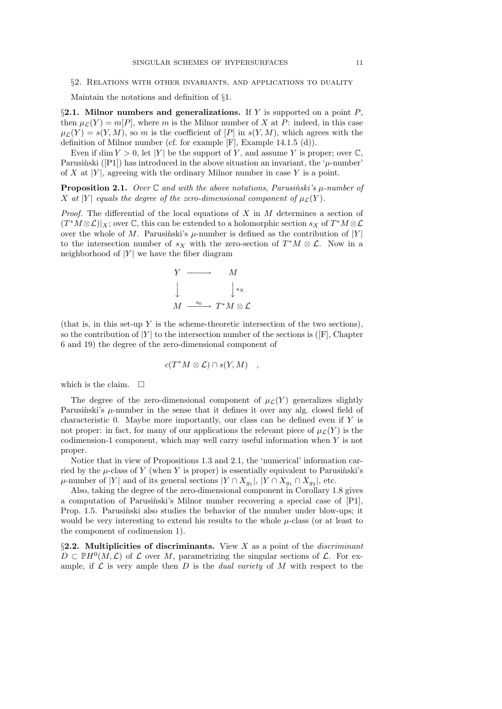### §2. Relations with other invariants, and applications to duality

Maintain the notations and definition of §1.

§2.1. Milnor numbers and generalizations. If Y is supported on a point  $P$ , then  $\mu_{\mathcal{L}}(Y) = m[P]$ , where m is the Milnor number of X at P: indeed, in this case  $\mu_{\mathcal{L}}(Y) = s(Y, M)$ , so m is the coefficient of  $[P]$  in  $s(Y, M)$ , which agrees with the definition of Milnor number (cf. for example [F], Example 14.1.5 (d)).

Even if dim  $Y > 0$ , let |Y| be the support of Y, and assume Y is proper; over  $\mathbb{C}$ , Parusinski ([P1]) has introduced in the above situation an invariant, the ' $\mu$ -number' of X at  $|Y|$ , agreeing with the ordinary Milnor number in case Y is a point.

**Proposition 2.1.** Over  $\mathbb C$  and with the above notations, Parusinski's  $\mu$ -number of X at |Y| equals the degree of the zero-dimensional component of  $\mu$ <sub>C</sub>(Y).

*Proof.* The differential of the local equations of  $X$  in  $M$  determines a section of  $(T^*M \otimes \mathcal{L})|_X$ ; over  $\mathbb{C}$ , this can be extended to a holomorphic section  $s_X$  of  $T^*M \otimes \mathcal{L}$ over the whole of M. Parusinski's  $\mu$ -number is defined as the contribution of |Y| to the intersection number of  $s_X$  with the zero-section of  $T^*M \otimes \mathcal{L}$ . Now in a neighborhood of  $|Y|$  we have the fiber diagram

$$
Y \longrightarrow M
$$
  

$$
\downarrow \qquad \qquad \downarrow s_X
$$
  

$$
M \xrightarrow{s_0} T^*M \otimes \mathcal{L}
$$

(that is, in this set-up Y is the scheme-theoretic intersection of the two sections), so the contribution of  $|Y|$  to the intersection number of the sections is ( $|F|$ , Chapter 6 and 19) the degree of the zero-dimensional component of

$$
c(T^*M\otimes\mathcal{L})\cap s(Y,M)\quad,
$$

which is the claim.  $\square$ 

The degree of the zero-dimensional component of  $\mu_{\mathcal{L}}(Y)$  generalizes slightly Parusinski's  $\mu$ -number in the sense that it defines it over any alg. closed field of characteristic 0. Maybe more importantly, our class can be defined even if Y is not proper: in fact, for many of our applications the relevant piece of  $\mu<sub>\mathcal{L</sub>(Y)$  is the codimension-1 component, which may well carry useful information when  $Y$  is not proper.

Notice that in view of Propositions 1.3 and 2.1, the 'numerical' information carried by the  $\mu$ -class of Y (when Y is proper) is essentially equivalent to Parusinski's  $\mu$ -number of |Y| and of its general sections  $|Y \cap X_{g_1}|, |Y \cap X_{g_1} \cap X_{g_2}|$ , etc.

Also, taking the degree of the zero-dimensional component in Corollary 1.8 gives a computation of Parusinski's Milnor number recovering a special case of  $[P1]$ , Prop. 1.5. Parusinski also studies the behavior of the number under blow-ups; it would be very interesting to extend his results to the whole  $\mu$ -class (or at least to the component of codimension 1).

§2.2. Multiplicities of discriminants. View X as a point of the *discriminant*  $D \subset \mathbb{P}H^0(M,\mathcal{L})$  of  $\mathcal L$  over M, parametrizing the singular sections of  $\mathcal L$ . For example, if  $\mathcal L$  is very ample then D is the *dual variety* of M with respect to the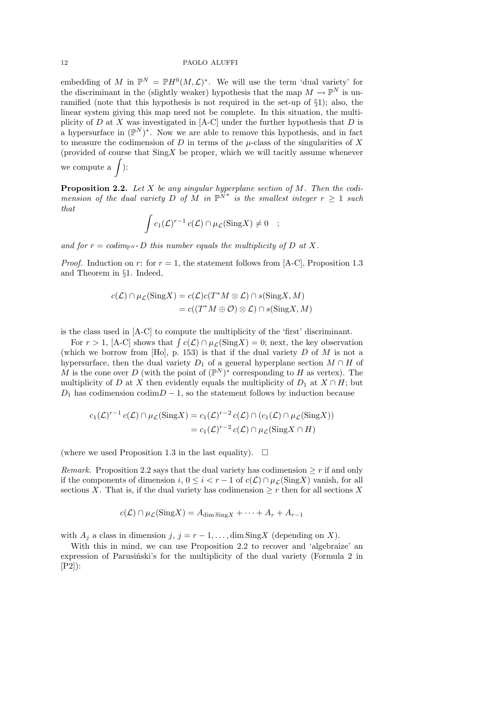embedding of M in  $\mathbb{P}^N = \mathbb{P}H^0(M, \mathcal{L})^*$ . We will use the term 'dual variety' for the discriminant in the (slightly weaker) hypothesis that the map  $M \to \mathbb{P}^N$  is unramified (note that this hypothesis is not required in the set-up of §1); also, the linear system giving this map need not be complete. In this situation, the multiplicity of D at X was investigated in  $[A-C]$  under the further hypothesis that D is a hypersurface in  $(\mathbb{P}^N)^*$ . Now we are able to remove this hypothesis, and in fact to measure the codimension of  $D$  in terms of the  $\mu$ -class of the singularities of  $X$ (provided of course that  $\text{Sing} X$  be proper, which we will tacitly assume whenever we compute a  $\int$ ):

**Proposition 2.2.** Let X be any singular hyperplane section of M. Then the codimension of the dual variety D of M in  $\mathbb{P}^{N^*}$  is the smallest integer  $r \geq 1$  such that

$$
\int c_1(\mathcal{L})^{r-1} c(\mathcal{L}) \cap \mu_{\mathcal{L}}(\text{Sing} X) \neq 0 \quad ;
$$

and for  $r = codim_{\mathbb{P}^N} D$  this number equals the multiplicity of D at X.

*Proof.* Induction on r: for  $r = 1$ , the statement follows from [A-C], Proposition 1.3 and Theorem in §1. Indeed,

$$
c(\mathcal{L}) \cap \mu_{\mathcal{L}}(\text{Sing} X) = c(\mathcal{L})c(T^*M \otimes \mathcal{L}) \cap s(\text{Sing} X, M)
$$
  
=  $c((T^*M \oplus \mathcal{O}) \otimes \mathcal{L}) \cap s(\text{Sing} X, M)$ 

is the class used in [A-C] to compute the multiplicity of the 'first' discriminant.

For  $r > 1$ , [A-C] shows that  $\int c(\mathcal{L}) \cap \mu_{\mathcal{L}}(\text{Sing} X) = 0$ ; next, the key observation (which we borrow from  $[Ho]$ , p. 153) is that if the dual variety D of M is not a hypersurface, then the dual variety  $D_1$  of a general hyperplane section  $M \cap H$  of M is the cone over D (with the point of  $(\mathbb{P}^N)^*$  corresponding to H as vertex). The multiplicity of D at X then evidently equals the multiplicity of  $D_1$  at  $X \cap H$ ; but  $D_1$  has codimension codim $D-1$ , so the statement follows by induction because

$$
c_1(\mathcal{L})^{r-1} c(\mathcal{L}) \cap \mu_{\mathcal{L}}(\text{Sing} X) = c_1(\mathcal{L})^{r-2} c(\mathcal{L}) \cap (c_1(\mathcal{L}) \cap \mu_{\mathcal{L}}(\text{Sing} X))
$$
  
= 
$$
c_1(\mathcal{L})^{r-2} c(\mathcal{L}) \cap \mu_{\mathcal{L}}(\text{Sing} X \cap H)
$$

(where we used Proposition 1.3 in the last equality).  $\Box$ 

*Remark.* Proposition 2.2 says that the dual variety has codimension  $\geq r$  if and only if the components of dimension i,  $0 \leq i < r - 1$  of  $c(\mathcal{L}) \cap \mu_{\mathcal{L}}(\text{Sing} X)$  vanish, for all sections X. That is, if the dual variety has codimension  $\geq r$  then for all sections X

$$
c(\mathcal{L}) \cap \mu_{\mathcal{L}}(\text{Sing} X) = A_{\text{dim Sing} X} + \dots + A_{r} + A_{r-1}
$$

with  $A_j$  a class in dimension j,  $j = r - 1, \ldots$ , dim SingX (depending on X).

With this in mind, we can use Proposition 2.2 to recover and 'algebraize' an expression of Parusiński's for the multiplicity of the dual variety (Formula 2 in [P2]):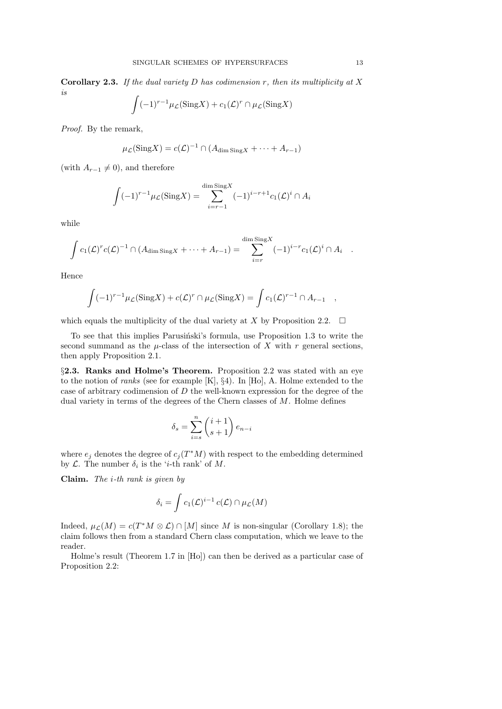**Corollary 2.3.** If the dual variety D has codimension r, then its multiplicity at X is

$$
\int (-1)^{r-1} \mu_{\mathcal{L}}(\text{Sing} X) + c_1(\mathcal{L})^r \cap \mu_{\mathcal{L}}(\text{Sing} X)
$$

Proof. By the remark,

$$
\mu_{\mathcal{L}}(\text{Sing} X) = c(\mathcal{L})^{-1} \cap (A_{\text{dim Sing} X} + \dots + A_{r-1})
$$

(with  $A_{r-1} \neq 0$ ), and therefore

$$
\int (-1)^{r-1} \mu_{\mathcal{L}}(\text{Sing} X) = \sum_{i=r-1}^{\dim \text{Sing} X} (-1)^{i-r+1} c_1(\mathcal{L})^i \cap A_i
$$

while

$$
\int c_1(\mathcal{L})^r c(\mathcal{L})^{-1} \cap (A_{\dim \text{Sing} X} + \cdots + A_{r-1}) = \sum_{i=r}^{\dim \text{Sing} X} (-1)^{i-r} c_1(\mathcal{L})^i \cap A_i.
$$

Hence

$$
\int (-1)^{r-1} \mu_{\mathcal{L}}(\text{Sing} X) + c(\mathcal{L})^r \cap \mu_{\mathcal{L}}(\text{Sing} X) = \int c_1(\mathcal{L})^{r-1} \cap A_{r-1} ,
$$

which equals the multiplicity of the dual variety at X by Proposition 2.2.  $\Box$ 

To see that this implies Parusiński's formula, use Proposition 1.3 to write the second summand as the  $\mu$ -class of the intersection of X with r general sections, then apply Proposition 2.1.

§2.3. Ranks and Holme's Theorem. Proposition 2.2 was stated with an eye to the notion of ranks (see for example [K], §4). In [Ho], A. Holme extended to the case of arbitrary codimension of  $D$  the well-known expression for the degree of the dual variety in terms of the degrees of the Chern classes of  $M$ . Holme defines

$$
\delta_s = \sum_{i=s}^n \binom{i+1}{s+1} e_{n-i}
$$

where  $e_j$  denotes the degree of  $c_j(T^*M)$  with respect to the embedding determined by  $\mathcal{L}$ . The number  $\delta_i$  is the '*i*-th rank' of M.

**Claim.** The *i*-th rank is given by

$$
\delta_i = \int c_1(\mathcal{L})^{i-1} c(\mathcal{L}) \cap \mu_{\mathcal{L}}(M)
$$

Indeed,  $\mu_{\mathcal{L}}(M) = c(T^*M \otimes \mathcal{L}) \cap [M]$  since M is non-singular (Corollary 1.8); the claim follows then from a standard Chern class computation, which we leave to the reader.

Holme's result (Theorem 1.7 in [Ho]) can then be derived as a particular case of Proposition 2.2: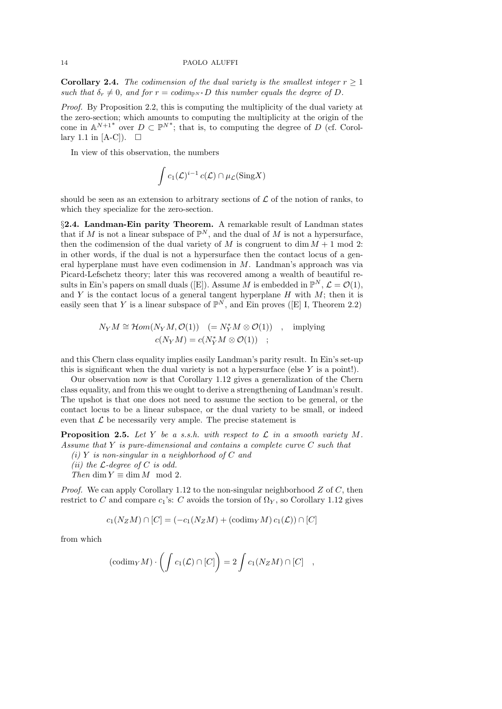**Corollary 2.4.** The codimension of the dual variety is the smallest integer  $r \geq 1$ such that  $\delta_r \neq 0$ , and for  $r = \text{codim}_{\mathbb{P}^N} \ast D$  this number equals the degree of D.

Proof. By Proposition 2.2, this is computing the multiplicity of the dual variety at the zero-section; which amounts to computing the multiplicity at the origin of the cone in  $\mathbb{A}^{N+1^*}$  over  $D \subset \mathbb{P}^{N^*}$ ; that is, to computing the degree of D (cf. Corollary 1.1 in [A-C]).  $\Box$ 

In view of this observation, the numbers

$$
\int c_1(\mathcal{L})^{i-1} c(\mathcal{L}) \cap \mu_{\mathcal{L}}(\mathrm{Sing} X)
$$

should be seen as an extension to arbitrary sections of  $\mathcal L$  of the notion of ranks, to which they specialize for the zero-section.

§2.4. Landman-Ein parity Theorem. A remarkable result of Landman states that if M is not a linear subspace of  $\mathbb{P}^N$ , and the dual of M is not a hypersurface, then the codimension of the dual variety of M is congruent to dim  $M + 1$  mod 2: in other words, if the dual is not a hypersurface then the contact locus of a general hyperplane must have even codimension in  $M$ . Landman's approach was via Picard-Lefschetz theory; later this was recovered among a wealth of beautiful results in Ein's papers on small duals ([E]). Assume M is embedded in  $\mathbb{P}^N$ ,  $\mathcal{L} = \mathcal{O}(1)$ , and Y is the contact locus of a general tangent hyperplane  $H$  with  $M$ ; then it is easily seen that Y is a linear subspace of  $\mathbb{P}^N$ , and Ein proves ([E] I, Theorem 2.2)

$$
N_Y M \cong \mathcal{H}om(N_Y M, \mathcal{O}(1)) \quad (= N_Y^* M \otimes \mathcal{O}(1)) \quad , \quad \text{implying}
$$

$$
c(N_Y M) = c(N_Y^* M \otimes \mathcal{O}(1)) \quad ;
$$

and this Chern class equality implies easily Landman's parity result. In Ein's set-up this is significant when the dual variety is not a hypersurface (else  $Y$  is a point!).

Our observation now is that Corollary 1.12 gives a generalization of the Chern class equality, and from this we ought to derive a strengthening of Landman's result. The upshot is that one does not need to assume the section to be general, or the contact locus to be a linear subspace, or the dual variety to be small, or indeed even that  $\mathcal L$  be necessarily very ample. The precise statement is

**Proposition 2.5.** Let Y be a s.s.h. with respect to  $\mathcal{L}$  in a smooth variety M. Assume that Y is pure-dimensional and contains a complete curve C such that

(i) Y is non-singular in a neighborhood of  $C$  and

(*ii*) the  $\mathcal{L}$ -degree of C is odd.

Then dim  $Y \equiv \dim M \mod 2$ .

*Proof.* We can apply Corollary 1.12 to the non-singular neighborhood  $Z$  of  $C$ , then restrict to C and compare  $c_1$ 's: C avoids the torsion of  $\Omega_Y$ , so Corollary 1.12 gives

$$
c_1(N_ZM)\cap [C]=(-c_1(N_ZM)+(\mathrm{codim}_YM)\,c_1(\mathcal{L}))\cap [C]
$$

from which

$$
(\mathrm{codim}_Y M) \cdot \left( \int c_1(\mathcal{L}) \cap [C] \right) = 2 \int c_1(N_Z M) \cap [C] ,
$$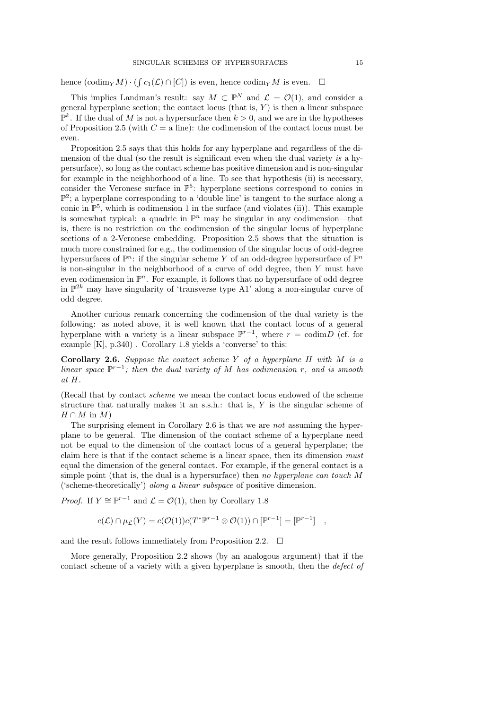hence  $(\text{codim}_Y M) \cdot (\int c_1(\mathcal{L}) \cap [C])$  is even, hence  $\text{codim}_Y M$  is even.  $\Box$ 

This implies Landman's result: say  $M \subset \mathbb{P}^N$  and  $\mathcal{L} = \mathcal{O}(1)$ , and consider a general hyperplane section; the contact locus (that is,  $Y$ ) is then a linear subspace  $\mathbb{P}^k$ . If the dual of M is not a hypersurface then  $k > 0$ , and we are in the hypotheses of Proposition 2.5 (with  $C = a$  line): the codimension of the contact locus must be even.

Proposition 2.5 says that this holds for any hyperplane and regardless of the dimension of the dual (so the result is significant even when the dual variety is a hypersurface), so long as the contact scheme has positive dimension and is non-singular for example in the neighborhood of a line. To see that hypothesis (ii) is necessary, consider the Veronese surface in  $\mathbb{P}^5$ : hyperplane sections correspond to conics in  $\mathbb{P}^2$ ; a hyperplane corresponding to a 'double line' is tangent to the surface along a conic in  $\mathbb{P}^5$ , which is codimension 1 in the surface (and violates (ii)). This example is somewhat typical: a quadric in  $\mathbb{P}^n$  may be singular in any codimension—that is, there is no restriction on the codimension of the singular locus of hyperplane sections of a 2-Veronese embedding. Proposition 2.5 shows that the situation is much more constrained for e.g., the codimension of the singular locus of odd-degree hypersurfaces of  $\mathbb{P}^n$ : if the singular scheme Y of an odd-degree hypersurface of  $\mathbb{P}^n$ is non-singular in the neighborhood of a curve of odd degree, then  $Y$  must have even codimension in  $\mathbb{P}^n$ . For example, it follows that no hypersurface of odd degree in  $\mathbb{P}^{2k}$  may have singularity of 'transverse type A1' along a non-singular curve of odd degree.

Another curious remark concerning the codimension of the dual variety is the following: as noted above, it is well known that the contact locus of a general hyperplane with a variety is a linear subspace  $\mathbb{P}^{r-1}$ , where  $r = \text{codim } D$  (cf. for example [K], p.340) . Corollary 1.8 yields a 'converse' to this:

**Corollary 2.6.** Suppose the contact scheme Y of a hyperplane H with M is a linear space  $\mathbb{P}^{r-1}$ ; then the dual variety of M has codimension r, and is smooth at H.

(Recall that by contact scheme we mean the contact locus endowed of the scheme structure that naturally makes it an s.s.h.: that is, Y is the singular scheme of  $H \cap M$  in  $M$ )

The surprising element in Corollary 2.6 is that we are not assuming the hyperplane to be general. The dimension of the contact scheme of a hyperplane need not be equal to the dimension of the contact locus of a general hyperplane; the claim here is that if the contact scheme is a linear space, then its dimension must equal the dimension of the general contact. For example, if the general contact is a simple point (that is, the dual is a hypersurface) then no hyperplane can touch M ('scheme-theoretically') along a linear subspace of positive dimension.

*Proof.* If  $Y \cong \mathbb{P}^{r-1}$  and  $\mathcal{L} = \mathcal{O}(1)$ , then by Corollary 1.8

$$
c(\mathcal{L}) \cap \mu_{\mathcal{L}}(Y) = c(\mathcal{O}(1))c(T^*\mathbb{P}^{r-1} \otimes \mathcal{O}(1)) \cap [\mathbb{P}^{r-1}] = [\mathbb{P}^{r-1}] ,
$$

and the result follows immediately from Proposition 2.2.  $\Box$ 

More generally, Proposition 2.2 shows (by an analogous argument) that if the contact scheme of a variety with a given hyperplane is smooth, then the defect of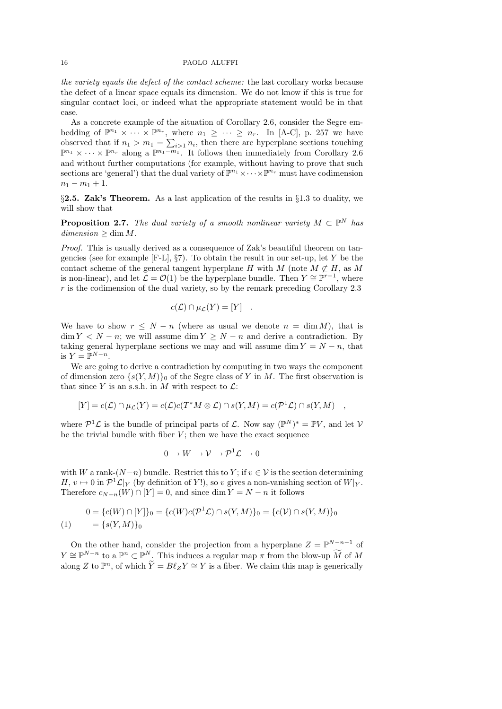the variety equals the defect of the contact scheme: the last corollary works because the defect of a linear space equals its dimension. We do not know if this is true for singular contact loci, or indeed what the appropriate statement would be in that case.

As a concrete example of the situation of Corollary 2.6, consider the Segre embedding of  $\mathbb{P}^{n_1} \times \cdots \times \mathbb{P}^{n_r}$ , where  $n_1 \geq \cdots \geq n_r$ . In [A-C], p. 257 we have observed that if  $n_1 > m_1 = \sum_{i>1} n_i$ , then there are hyperplane sections touching  $\mathbb{P}^{n_1} \times \cdots \times \mathbb{P}^{n_r}$  along a  $\mathbb{P}^{n_1-m_1}$ . It follows then immediately from Corollary 2.6 and without further computations (for example, without having to prove that such sections are 'general') that the dual variety of  $\mathbb{P}^{n_1} \times \cdots \times \mathbb{P}^{n_r}$  must have codimension  $n_1 - m_1 + 1.$ 

 $\S$ 2.5. Zak's Theorem. As a last application of the results in  $\S$ 1.3 to duality, we will show that

**Proposition 2.7.** The dual variety of a smooth nonlinear variety  $M \subset \mathbb{P}^N$  has  $dimension \geq \dim M$ .

Proof. This is usually derived as a consequence of Zak's beautiful theorem on tangencies (see for example  $[F-L]$ ,  $\S7$ ). To obtain the result in our set-up, let Y be the contact scheme of the general tangent hyperplane H with M (note  $M \not\subset H$ , as M is non-linear), and let  $\mathcal{L} = \mathcal{O}(1)$  be the hyperplane bundle. Then  $Y \cong \mathbb{P}^{r-1}$ , where r is the codimension of the dual variety, so by the remark preceding Corollary 2.3

$$
c(\mathcal{L}) \cap \mu_{\mathcal{L}}(Y) = [Y] .
$$

We have to show  $r \leq N - n$  (where as usual we denote  $n = \dim M$ ), that is  $\dim Y < N - n$ ; we will assume  $\dim Y \ge N - n$  and derive a contradiction. By taking general hyperplane sections we may and will assume dim  $Y = N - n$ , that is  $Y = \mathbb{P}^{N-n}$ .

We are going to derive a contradiction by computing in two ways the component of dimension zero  $\{s(Y, M)\}\$ o of the Segre class of Y in M. The first observation is that since Y is an s.s.h. in M with respect to  $\mathcal{L}$ :

$$
[Y] = c(\mathcal{L}) \cap \mu_{\mathcal{L}}(Y) = c(\mathcal{L})c(T^*M \otimes \mathcal{L}) \cap s(Y, M) = c(\mathcal{P}^1\mathcal{L}) \cap s(Y, M) ,
$$

where  $\mathcal{P}^1\mathcal{L}$  is the bundle of principal parts of  $\mathcal{L}$ . Now say  $(\mathbb{P}^N)^* = \mathbb{P}V$ , and let V be the trivial bundle with fiber  $V$ ; then we have the exact sequence

$$
0 \to W \to \mathcal{V} \to \mathcal{P}^1 \mathcal{L} \to 0
$$

with W a rank- $(N-n)$  bundle. Restrict this to Y; if  $v \in V$  is the section determining  $H, v \mapsto 0$  in  $\mathcal{P}^1 \mathcal{L}|_Y$  (by definition of Y!), so v gives a non-vanishing section of  $W|_Y$ . Therefore  $c_{N-n}(W) \cap [Y] = 0$ , and since dim  $Y = N - n$  it follows

$$
0 = \{c(W) \cap [Y]\}_0 = \{c(W)c(\mathcal{P}^1 \mathcal{L}) \cap s(Y, M)\}_0 = \{c(V) \cap s(Y, M)\}_0
$$
  
(1) 
$$
= \{s(Y, M)\}_0
$$

On the other hand, consider the projection from a hyperplane  $Z = \mathbb{P}^{N-n-1}$  of  $Y \cong \mathbb{P}^{N-n}$  to a  $\mathbb{P}^n \subset \mathbb{P}^N$ . This induces a regular map  $\pi$  from the blow-up  $\widetilde{M}$  of  $M$ along Z to  $\mathbb{P}^n$ , of which  $\widetilde{Y} = B\ell_Z Y \cong Y$  is a fiber. We claim this map is generically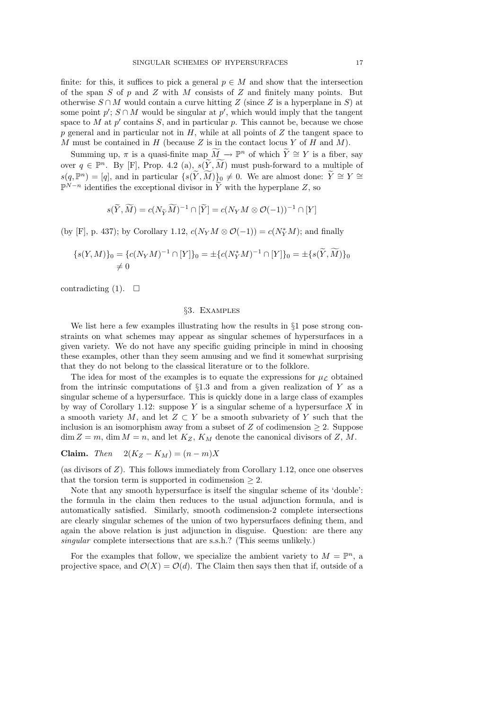finite: for this, it suffices to pick a general  $p \in M$  and show that the intersection of the span  $S$  of  $p$  and  $Z$  with  $M$  consists of  $Z$  and finitely many points. But otherwise  $S \cap M$  would contain a curve hitting Z (since Z is a hyperplane in S) at some point  $p'$ ;  $S \cap M$  would be singular at  $p'$ , which would imply that the tangent space to M at  $p'$  contains S, and in particular p. This cannot be, because we chose  $p$  general and in particular not in  $H$ , while at all points of  $Z$  the tangent space to M must be contained in H (because Z is in the contact locus Y of H and M).

Summing up,  $\pi$  is a quasi-finite map  $\widetilde{M} \to \mathbb{P}^n$  of which  $\widetilde{Y} \cong Y$  is a fiber, say over  $q \in \mathbb{P}^n$ . By [F], Prop. 4.2 (a),  $s(\widetilde{Y}, \widetilde{M})$  must push-forward to a multiple of  $s(q, \mathbb{P}^n) = [q]$ , and in particular  $\{s(\widetilde{Y}, \widetilde{M})\}_0 \neq 0$ . We are almost done:  $\widetilde{Y} \cong Y \cong \mathbb{P}^{N-n}$  $\mathbb{P}^{N-n}$  identifies the exceptional divisor in  $\widetilde{Y}$  with the hyperplane Z, so

$$
s(\widetilde{Y}, \widetilde{M}) = c(N_{\widetilde{Y}} \widetilde{M})^{-1} \cap [\widetilde{Y}] = c(N_{Y} M \otimes \mathcal{O}(-1))^{-1} \cap [Y]
$$

(by [F], p. 437); by Corollary 1.12,  $c(N_Y M \otimes \mathcal{O}(-1)) = c(N_Y^* M)$ ; and finally

$$
{s(Y, M)_0 = {c(N_Y M)^{-1} \cap [Y]}_0 = \pm {c(N_Y^* M)^{-1} \cap [Y]}_0 = \pm {s(\widetilde{Y}, \widetilde{M})}_0
$$
  

$$
\neq 0
$$

contradicting (1).  $\Box$ 

## §3. Examples

We list here a few examples illustrating how the results in §1 pose strong constraints on what schemes may appear as singular schemes of hypersurfaces in a given variety. We do not have any specific guiding principle in mind in choosing these examples, other than they seem amusing and we find it somewhat surprising that they do not belong to the classical literature or to the folklore.

The idea for most of the examples is to equate the expressions for  $\mu_{\mathcal{L}}$  obtained from the intrinsic computations of  $\S1.3$  and from a given realization of Y as a singular scheme of a hypersurface. This is quickly done in a large class of examples by way of Corollary 1.12: suppose Y is a singular scheme of a hypersurface X in a smooth variety M, and let  $Z \subset Y$  be a smooth subvariety of Y such that the inclusion is an isomorphism away from a subset of Z of codimension  $\geq 2$ . Suppose  $\dim Z = m$ ,  $\dim M = n$ , and let  $K_Z$ ,  $K_M$  denote the canonical divisors of Z, M.

$$
Claim. \quad Then \quad 2(K_Z - K_M) = (n - m)X
$$

(as divisors of  $Z$ ). This follows immediately from Corollary 1.12, once one observes that the torsion term is supported in codimension  $\geq 2$ .

Note that any smooth hypersurface is itself the singular scheme of its 'double': the formula in the claim then reduces to the usual adjunction formula, and is automatically satisfied. Similarly, smooth codimension-2 complete intersections are clearly singular schemes of the union of two hypersurfaces defining them, and again the above relation is just adjunction in disguise. Question: are there any singular complete intersections that are s.s.h.? (This seems unlikely.)

For the examples that follow, we specialize the ambient variety to  $M = \mathbb{P}^n$ , a projective space, and  $\mathcal{O}(X) = \mathcal{O}(d)$ . The Claim then says then that if, outside of a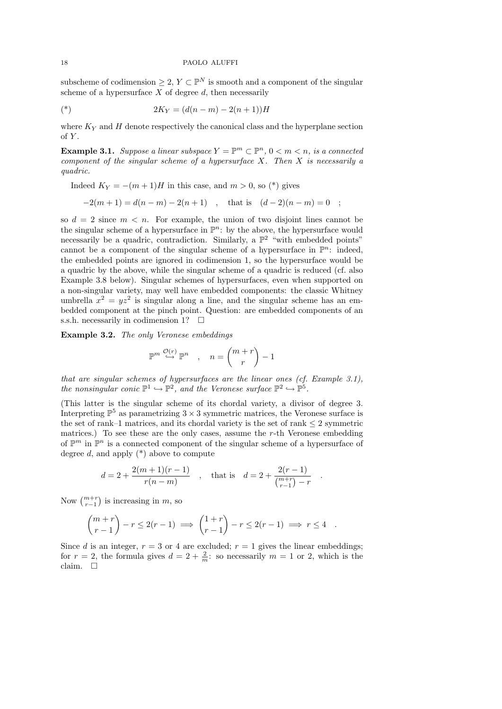subscheme of codimension  $\geq 2$ ,  $Y \subset \mathbb{P}^N$  is smooth and a component of the singular scheme of a hypersurface  $X$  of degree  $d$ , then necessarily

(\*) 
$$
2K_Y = (d(n-m) - 2(n+1))H
$$

where  $K_Y$  and  $H$  denote respectively the canonical class and the hyperplane section of  $Y$ .

**Example 3.1.** Suppose a linear subspace  $Y = \mathbb{P}^m \subset \mathbb{P}^n$ ,  $0 < m < n$ , is a connected component of the singular scheme of a hypersurface  $X$ . Then  $X$  is necessarily a quadric.

Indeed  $K_Y = -(m+1)H$  in this case, and  $m > 0$ , so  $(*)$  gives

$$
-2(m+1) = d(n-m) - 2(n+1) , \text{ that is } (d-2)(n-m) = 0 ;
$$

so  $d = 2$  since  $m \leq n$ . For example, the union of two disjoint lines cannot be the singular scheme of a hypersurface in  $\mathbb{P}^n$ : by the above, the hypersurface would necessarily be a quadric, contradiction. Similarly, a  $\mathbb{P}^2$  "with embedded points" cannot be a component of the singular scheme of a hypersurface in  $\mathbb{P}^n$ : indeed, the embedded points are ignored in codimension 1, so the hypersurface would be a quadric by the above, while the singular scheme of a quadric is reduced (cf. also Example 3.8 below). Singular schemes of hypersurfaces, even when supported on a non-singular variety, may well have embedded components: the classic Whitney umbrella  $x^2 = yz^2$  is singular along a line, and the singular scheme has an embedded component at the pinch point. Question: are embedded components of an s.s.h. necessarily in codimension 1?  $\Box$ 

Example 3.2. The only Veronese embeddings

$$
\mathbb{P}^m \stackrel{\mathcal{O}(r)}{\hookrightarrow} \mathbb{P}^n \quad , \quad n = \binom{m+r}{r} - 1
$$

that are singular schemes of hypersurfaces are the linear ones (cf. Example 3.1), the nonsingular conic  $\mathbb{P}^1 \hookrightarrow \mathbb{P}^2$ , and the Veronese surface  $\mathbb{P}^2 \hookrightarrow \mathbb{P}^5$ .

(This latter is the singular scheme of its chordal variety, a divisor of degree 3. Interpreting  $\mathbb{P}^5$  as parametrizing  $3 \times 3$  symmetric matrices, the Veronese surface is the set of rank–1 matrices, and its chordal variety is the set of rank  $\leq 2$  symmetric matrices.) To see these are the only cases, assume the  $r$ -th Veronese embedding of  $\mathbb{P}^m$  in  $\mathbb{P}^n$  is a connected component of the singular scheme of a hypersurface of degree  $d$ , and apply  $(*)$  above to compute

$$
d = 2 + \frac{2(m+1)(r-1)}{r(n-m)}
$$
, that is  $d = 2 + \frac{2(r-1)}{\binom{m+r}{r-1} - r}$ 

.

Now  $\binom{m+r}{r-1}$  is increasing in m, so

$$
\binom{m+r}{r-1} - r \le 2(r-1) \implies \binom{1+r}{r-1} - r \le 2(r-1) \implies r \le 4.
$$

Since d is an integer,  $r = 3$  or 4 are excluded;  $r = 1$  gives the linear embeddings; for  $r = 2$ , the formula gives  $d = 2 + \frac{2}{m}$ : so necessarily  $m = 1$  or 2, which is the claim.  $\Box$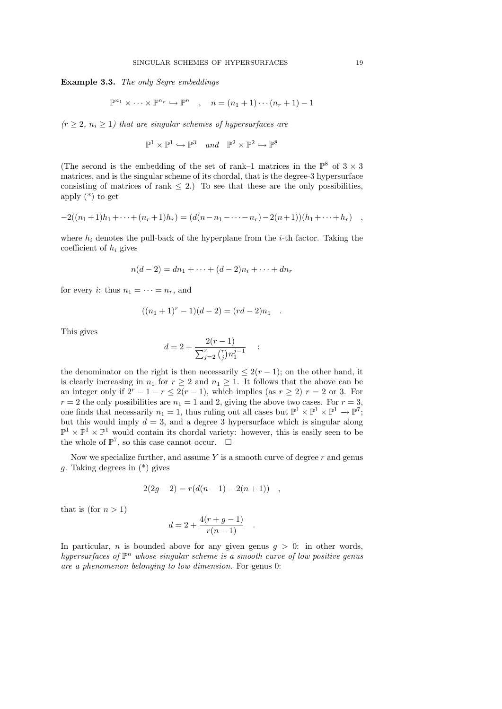Example 3.3. The only Segre embeddings

$$
\mathbb{P}^{n_1} \times \cdots \times \mathbb{P}^{n_r} \hookrightarrow \mathbb{P}^n \quad , \quad n = (n_1 + 1) \cdots (n_r + 1) - 1
$$

 $(r \geq 2, n_i \geq 1)$  that are singular schemes of hypersurfaces are

 $\mathbb{P}^1 \times \mathbb{P}^1 \hookrightarrow \mathbb{P}^3$  and  $\mathbb{P}^2 \times \mathbb{P}^2 \hookrightarrow \mathbb{P}^8$ 

(The second is the embedding of the set of rank–1 matrices in the  $\mathbb{P}^8$  of  $3 \times 3$ matrices, and is the singular scheme of its chordal, that is the degree-3 hypersurface consisting of matrices of rank  $\leq$  2.) To see that these are the only possibilities, apply  $(*)$  to get

$$
-2((n_1+1)h_1+\cdots+(n_r+1)h_r)=(d(n-n_1-\cdots-n_r)-2(n+1))(h_1+\cdots+h_r) ,
$$

where  $h_i$  denotes the pull-back of the hyperplane from the *i*-th factor. Taking the coefficient of  $h_i$  gives

$$
n(d-2) = dn_1 + \dots + (d-2)n_i + \dots + dn_r
$$

for every *i*: thus  $n_1 = \cdots = n_r$ , and

$$
((n_1+1)^r-1)(d-2)=(rd-2)n_1.
$$

This gives

$$
d = 2 + \frac{2(r-1)}{\sum_{j=2}^{r} {r \choose j} n_1^{j-1}} \quad :
$$

the denominator on the right is then necessarily  $\leq 2(r-1)$ ; on the other hand, it is clearly increasing in  $n_1$  for  $r \geq 2$  and  $n_1 \geq 1$ . It follows that the above can be an integer only if  $2^r - 1 - r \leq 2(r - 1)$ , which implies (as  $r \geq 2$ )  $r = 2$  or 3. For  $r = 2$  the only possibilities are  $n_1 = 1$  and 2, giving the above two cases. For  $r = 3$ , one finds that necessarily  $n_1 = 1$ , thus ruling out all cases but  $\mathbb{P}^1 \times \mathbb{P}^1 \times \mathbb{P}^1 \to \mathbb{P}^7$ ; but this would imply  $d = 3$ , and a degree 3 hypersurface which is singular along  $\mathbb{P}^1 \times \mathbb{P}^1 \times \mathbb{P}^1$  would contain its chordal variety: however, this is easily seen to be the whole of  $\mathbb{P}^7$ , so this case cannot occur.  $\Box$ 

Now we specialize further, and assume  $Y$  is a smooth curve of degree  $r$  and genus g. Taking degrees in (\*) gives

$$
2(2g-2) = r(d(n-1) - 2(n+1)) ,
$$

that is (for  $n > 1$ )

$$
d = 2 + \frac{4(r + g - 1)}{r(n - 1)}.
$$

In particular, *n* is bounded above for any given genus  $q > 0$ : in other words, hypersurfaces of  $\mathbb{P}^n$  whose singular scheme is a smooth curve of low positive genus are a phenomenon belonging to low dimension. For genus 0: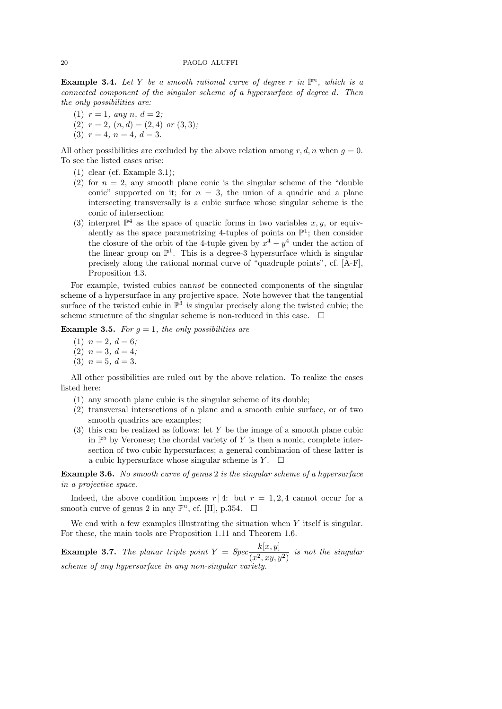**Example 3.4.** Let Y be a smooth rational curve of degree r in  $\mathbb{P}^n$ , which is a connected component of the singular scheme of a hypersurface of degree d. Then the only possibilities are:

- (1)  $r = 1$ , any  $n, d = 2$ ;
- (2)  $r = 2$ ,  $(n, d) = (2, 4)$  or  $(3, 3)$ ;
- (3)  $r = 4$ ,  $n = 4$ ,  $d = 3$ .

All other possibilities are excluded by the above relation among r, d, n when  $q = 0$ . To see the listed cases arise:

- (1) clear (cf. Example 3.1);
- (2) for  $n = 2$ , any smooth plane conic is the singular scheme of the "double" conic" supported on it; for  $n = 3$ , the union of a quadric and a plane intersecting transversally is a cubic surface whose singular scheme is the conic of intersection;
- (3) interpret  $\mathbb{P}^4$  as the space of quartic forms in two variables  $x, y$ , or equivalently as the space parametrizing 4-tuples of points on  $\mathbb{P}^1$ ; then consider the closure of the orbit of the 4-tuple given by  $x^4 - y^4$  under the action of the linear group on  $\mathbb{P}^1$ . This is a degree-3 hypersurface which is singular precisely along the rational normal curve of "quadruple points", cf. [A-F], Proposition 4.3.

For example, twisted cubics cannot be connected components of the singular scheme of a hypersurface in any projective space. Note however that the tangential surface of the twisted cubic in  $\mathbb{P}^3$  is singular precisely along the twisted cubic; the scheme structure of the singular scheme is non-reduced in this case.  $\Box$ 

**Example 3.5.** For  $g = 1$ , the only possibilities are

- (1)  $n = 2, d = 6;$
- (2)  $n = 3, d = 4;$
- (3)  $n = 5, d = 3.$

All other possibilities are ruled out by the above relation. To realize the cases listed here:

- (1) any smooth plane cubic is the singular scheme of its double;
- (2) transversal intersections of a plane and a smooth cubic surface, or of two smooth quadrics are examples;
- (3) this can be realized as follows: let Y be the image of a smooth plane cubic in  $\mathbb{P}^5$  by Veronese; the chordal variety of Y is then a nonic, complete intersection of two cubic hypersurfaces; a general combination of these latter is a cubic hypersurface whose singular scheme is  $Y$ .  $\Box$

Example 3.6. No smooth curve of genus 2 is the singular scheme of a hypersurface in a projective space.

Indeed, the above condition imposes  $r/4$ : but  $r = 1, 2, 4$  cannot occur for a smooth curve of genus 2 in any  $\mathbb{P}^n$ , cf. [H], p.354.  $\Box$ 

We end with a few examples illustrating the situation when Y itself is singular. For these, the main tools are Proposition 1.11 and Theorem 1.6.

**Example 3.7.** The planar triple point  $Y = Spec_{\overline{X}^2}$  $\frac{N(x, y)}{(x^2, xy, y^2)}$  is not the singular scheme of any hypersurface in any non-singular variety.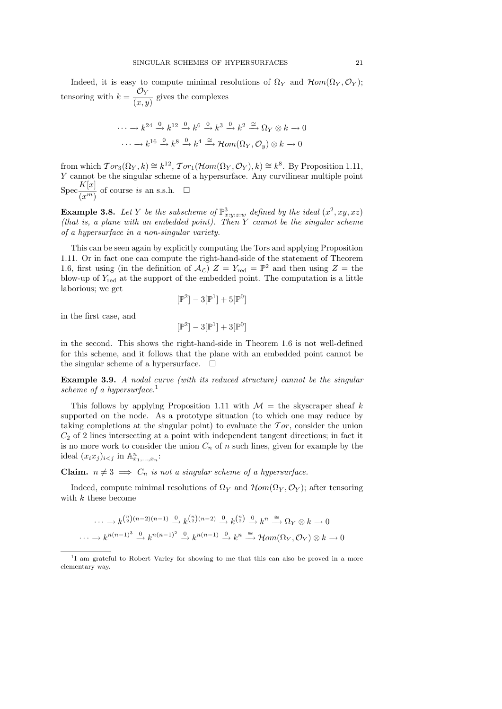Indeed, it is easy to compute minimal resolutions of  $\Omega_Y$  and  $\mathcal{H}om(\Omega_Y, \mathcal{O}_Y);$ tensoring with  $k = \frac{\mathcal{O}_Y}{\sqrt{2\pi}}$  $(x, y)$ gives the complexes

$$
\cdots \longrightarrow k^{24} \stackrel{0}{\longrightarrow} k^{12} \stackrel{0}{\longrightarrow} k^6 \stackrel{0}{\longrightarrow} k^3 \stackrel{0}{\longrightarrow} k^2 \stackrel{\cong}{\longrightarrow} \Omega_Y \otimes k \longrightarrow 0
$$
  

$$
\cdots \longrightarrow k^{16} \stackrel{0}{\longrightarrow} k^8 \stackrel{0}{\longrightarrow} k^4 \stackrel{\cong}{\longrightarrow} \mathcal{H}om(\Omega_Y, \mathcal{O}_y) \otimes k \longrightarrow 0
$$

from which  $Tor_3(\Omega_Y, k) \cong k^{12}$ ,  $Tor_1(\mathcal{H}om(\Omega_Y, \mathcal{O}_Y), k) \cong k^8$ . By Proposition 1.11, Y cannot be the singular scheme of a hypersurface. Any curvilinear multiple point  $Spec \frac{K[x]}{F(x)}$  $(x^m)$ of course *is* an s.s.h.  $\Box$ 

**Example 3.8.** Let Y be the subscheme of  $\mathbb{P}^3_{x:y:z:w}$  defined by the ideal  $(x^2, xy, xz)$ (that is, a plane with an embedded point). Then Y cannot be the singular scheme of a hypersurface in a non-singular variety.

This can be seen again by explicitly computing the Tors and applying Proposition 1.11. Or in fact one can compute the right-hand-side of the statement of Theorem 1.6, first using (in the definition of  $\mathcal{A}_{\mathcal{L}}$ )  $Z = Y_{\text{red}} = \mathbb{P}^2$  and then using  $Z =$  the blow-up of  $Y_{\text{red}}$  at the support of the embedded point. The computation is a little laborious; we get

$$
[\mathbb{P}^2]-3[\mathbb{P}^1]+5[\mathbb{P}^0]
$$

in the first case, and

$$
[\mathbb{P}^2]-3[\mathbb{P}^1]+3[\mathbb{P}^0]
$$

in the second. This shows the right-hand-side in Theorem 1.6 is not well-defined for this scheme, and it follows that the plane with an embedded point cannot be the singular scheme of a hypersurface.  $\Box$ 

Example 3.9. A nodal curve (with its reduced structure) cannot be the singular scheme of a hypersurface.<sup>1</sup>

This follows by applying Proposition 1.11 with  $\mathcal{M} =$  the skyscraper sheaf k supported on the node. As a prototype situation (to which one may reduce by taking completions at the singular point) to evaluate the  $Tor$ , consider the union  $C_2$  of 2 lines intersecting at a point with independent tangent directions; in fact it is no more work to consider the union  $C_n$  of n such lines, given for example by the ideal  $(x_ix_j)_{i in  $\mathbb{A}^n_{x_1,...,x_n}$ :$ 

**Claim.**  $n \neq 3 \implies C_n$  is not a singular scheme of a hypersurface.

Indeed, compute minimal resolutions of  $\Omega_Y$  and  $\mathcal{H}om(\Omega_Y, \mathcal{O}_Y)$ ; after tensoring with k these become

$$
\cdots \longrightarrow k^{\binom{n}{2}(n-2)(n-1)} \stackrel{0}{\longrightarrow} k^{\binom{n}{2}(n-2)} \stackrel{0}{\longrightarrow} k^{\binom{n}{2}} \stackrel{0}{\longrightarrow} k^n \stackrel{\cong}{\longrightarrow} \Omega_Y \otimes k \longrightarrow 0
$$
  

$$
\cdots \longrightarrow k^{n(n-1)^3} \stackrel{0}{\longrightarrow} k^{n(n-1)^2} \stackrel{0}{\longrightarrow} k^{n(n-1)} \stackrel{0}{\longrightarrow} k^n \stackrel{\cong}{\longrightarrow} \mathcal{H}om(\Omega_Y, \mathcal{O}_Y) \otimes k \longrightarrow 0
$$

<sup>&</sup>lt;sup>1</sup>I am grateful to Robert Varley for showing to me that this can also be proved in a more elementary way.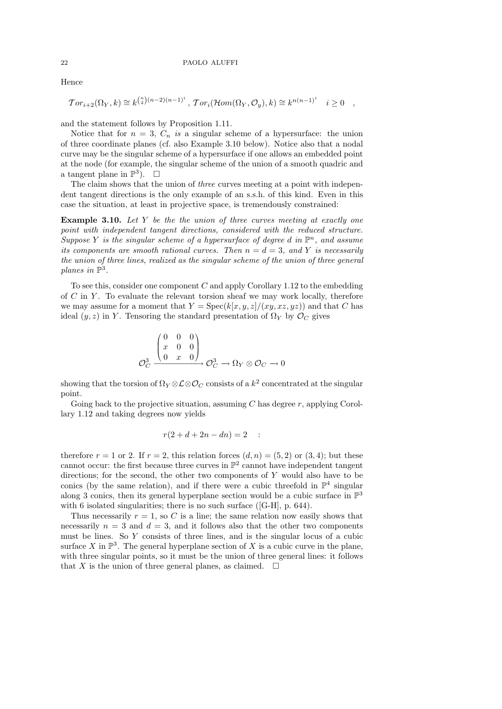Hence

$$
\mathcal{T}or_{i+2}(\Omega_Y,k) \cong k^{\binom{n}{2}(n-2)(n-1)^i}, \mathcal{T}or_i(\mathcal{H}om(\Omega_Y,\mathcal{O}_y),k) \cong k^{n(n-1)^i} \quad i \geq 0 \quad ,
$$

and the statement follows by Proposition 1.11.

Notice that for  $n = 3$ ,  $C_n$  is a singular scheme of a hypersurface: the union of three coordinate planes (cf. also Example 3.10 below). Notice also that a nodal curve may be the singular scheme of a hypersurface if one allows an embedded point at the node (for example, the singular scheme of the union of a smooth quadric and a tangent plane in  $\mathbb{P}^3$ ).  $\Box$ 

The claim shows that the union of three curves meeting at a point with independent tangent directions is the only example of an s.s.h. of this kind. Even in this case the situation, at least in projective space, is tremendously constrained:

**Example 3.10.** Let  $Y$  be the the union of three curves meeting at exactly one point with independent tangent directions, considered with the reduced structure. Suppose Y is the singular scheme of a hypersurface of degree d in  $\mathbb{P}^n$ , and assume its components are smooth rational curves. Then  $n = d = 3$ , and Y is necessarily the union of three lines, realized as the singular scheme of the union of three general planes in  $\mathbb{P}^3$ .

To see this, consider one component  $C$  and apply Corollary 1.12 to the embedding of  $C$  in  $Y$ . To evaluate the relevant torsion sheaf we may work locally, therefore we may assume for a moment that  $Y = \text{Spec}(k[x, y, z]/(xy, xz, yz))$  and that C has ideal  $(y, z)$  in Y. Tensoring the standard presentation of  $\Omega_Y$  by  $\mathcal{O}_C$  gives

$$
\mathcal{O}_C^3 \xrightarrow{\begin{pmatrix} 0 & 0 & 0 \\ x & 0 & 0 \\ 0 & x & 0 \end{pmatrix}} \mathcal{O}_C^3 \to \Omega_Y \otimes \mathcal{O}_C \to 0
$$

showing that the torsion of  $\Omega_Y\otimes{\mathcal L}\otimes{\mathcal O}_C$  consists of a  $k^2$  concentrated at the singular point.

Going back to the projective situation, assuming  $C$  has degree  $r$ , applying Corollary 1.12 and taking degrees now yields

$$
r(2+d+2n-dn)=2
$$
 :

therefore  $r = 1$  or 2. If  $r = 2$ , this relation forces  $(d, n) = (5, 2)$  or  $(3, 4)$ ; but these cannot occur: the first because three curves in  $\mathbb{P}^2$  cannot have independent tangent directions; for the second, the other two components of  $Y$  would also have to be conics (by the same relation), and if there were a cubic threefold in  $\mathbb{P}^4$  singular along 3 conics, then its general hyperplane section would be a cubic surface in  $\mathbb{P}^3$ with 6 isolated singularities; there is no such surface ([G-H], p. 644).

Thus necessarily  $r = 1$ , so C is a line; the same relation now easily shows that necessarily  $n = 3$  and  $d = 3$ , and it follows also that the other two components must be lines. So Y consists of three lines, and is the singular locus of a cubic surface X in  $\mathbb{P}^3$ . The general hyperplane section of X is a cubic curve in the plane, with three singular points, so it must be the union of three general lines: it follows that X is the union of three general planes, as claimed.  $\square$